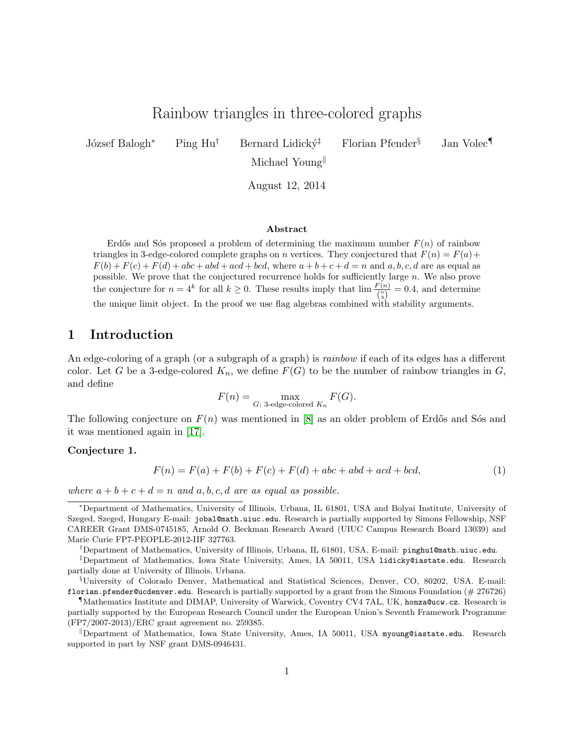# Rainbow triangles in three-colored graphs

József Balogh<sup>∗</sup> Ping Hu<sup>†</sup> Bernard Lidický<sup>‡</sup> Florian Pfender<sup>§</sup> Jan Volec¶

Michael Young

August 12, 2014

#### Abstract

Erdős and Sós proposed a problem of determining the maximum number  $F(n)$  of rainbow triangles in 3-edge-colored complete graphs on n vertices. They conjectured that  $F(n) = F(a) +$  $F(b) + F(c) + F(d) + abc + abd + acd + bcd$ , where  $a + b + c + d = n$  and  $a, b, c, d$  are as equal as possible. We prove that the conjectured recurrence holds for sufficiently large n. We also prove the conjecture for  $n = 4^k$  for all  $k \ge 0$ . These results imply that  $\lim_{n \to \infty} \frac{F(n)}{\binom{n}{3}} = 0.4$ , and determine the unique limit object. In the proof we use flag algebras combined with stability arguments.

# 1 Introduction

An edge-coloring of a graph (or a subgraph of a graph) is *rainbow* if each of its edges has a different color. Let G be a 3-edge-colored  $K_n$ , we define  $F(G)$  to be the number of rainbow triangles in G, and define

$$
F(n) = \max_{G: 3\text{-edge-colored } K_n} F(G).
$$

The following conjecture on  $F(n)$  was mentioned in [\[8\]](#page-22-0) as an older problem of Erdős and Sós and it was mentioned again in [\[17\]](#page-23-0).

#### Conjecture 1.

<span id="page-0-0"></span>
$$
F(n) = F(a) + F(b) + F(c) + F(d) + abc + abd + acd + bcd,
$$
\n(1)

where  $a + b + c + d = n$  and a, b, c, d are as equal as possible.

<sup>∗</sup>Department of Mathematics, University of Illinois, Urbana, IL 61801, USA and Bolyai Institute, University of Szeged, Szeged, Hungary E-mail: jobal@math.uiuc.edu. Research is partially supported by Simons Fellowship, NSF CAREER Grant DMS-0745185, Arnold O. Beckman Research Award (UIUC Campus Research Board 13039) and Marie Curie FP7-PEOPLE-2012-IIF 327763.

<sup>†</sup>Department of Mathematics, University of Illinois, Urbana, IL 61801, USA, E-mail: pinghu1@math.uiuc.edu.

<sup>‡</sup>Department of Mathematics, Iowa State University, Ames, IA 50011, USA lidicky@iastate.edu. Research partially done at University of Illinois, Urbana.

<sup>§</sup>University of Colorado Denver, Mathematical and Statistical Sciences, Denver, CO, 80202, USA. E-mail: florian.pfender@ucdenver.edu. Research is partially supported by a grant from the Simons Foundation (# 276726)

<sup>¶</sup>Mathematics Institute and DIMAP, University of Warwick, Coventry CV4 7AL, UK, honza@ucw.cz. Research is partially supported by the European Research Council under the European Union's Seventh Framework Programme (FP7/2007-2013)/ERC grant agreement no. 259385.

 $\mathbb{D}$ Department of Mathematics, Iowa State University, Ames, IA 50011, USA myoung@iastate.edu. Research supported in part by NSF grant DMS-0946431.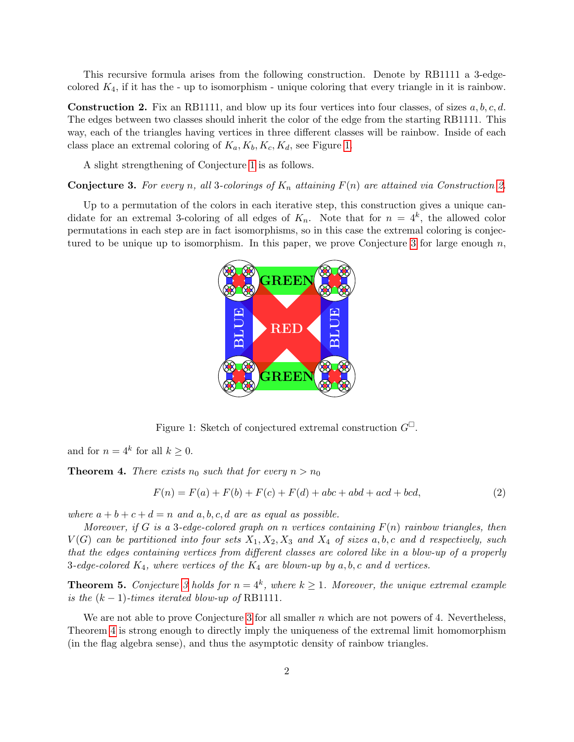This recursive formula arises from the following construction. Denote by RB1111 a 3-edgecolored  $K_4$ , if it has the - up to isomorphism - unique coloring that every triangle in it is rainbow.

<span id="page-1-1"></span>**Construction 2.** Fix an RB1111, and blow up its four vertices into four classes, of sizes  $a, b, c, d$ . The edges between two classes should inherit the color of the edge from the starting RB1111. This way, each of the triangles having vertices in three different classes will be rainbow. Inside of each class place an extremal coloring of  $K_a, K_b, K_c, K_d$ , see Figure [1.](#page-1-0)

A slight strengthening of Conjecture [1](#page-0-0) is as follows.

<span id="page-1-2"></span>**Conjecture 3.** For every n, all 3-colorings of  $K_n$  attaining  $F(n)$  are attained via Construction [2.](#page-1-1)

Up to a permutation of the colors in each iterative step, this construction gives a unique candidate for an extremal 3-coloring of all edges of  $K_n$ . Note that for  $n = 4^k$ , the allowed color permutations in each step are in fact isomorphisms, so in this case the extremal coloring is conjec-tured to be unique up to isomorphism. In this paper, we prove Conjecture [3](#page-1-2) for large enough  $n$ ,



<span id="page-1-0"></span>Figure 1: Sketch of conjectured extremal construction  $G^{\square}$ .

and for  $n = 4^k$  for all  $k \geq 0$ .

<span id="page-1-3"></span>**Theorem 4.** There exists  $n_0$  such that for every  $n > n_0$ 

$$
F(n) = F(a) + F(b) + F(c) + F(d) + abc + abd + acd + bcd,
$$
\n(2)

where  $a + b + c + d = n$  and  $a, b, c, d$  are as equal as possible.

Moreover, if G is a 3-edge-colored graph on n vertices containing  $F(n)$  rainbow triangles, then  $V(G)$  can be partitioned into four sets  $X_1, X_2, X_3$  and  $X_4$  of sizes a, b, c and d respectively, such that the edges containing vertices from different classes are colored like in a blow-up of a properly 3-edge-colored  $K_4$ , where vertices of the  $K_4$  are blown-up by  $a, b, c$  and  $d$  vertices.

<span id="page-1-4"></span>**Theorem 5.** Conjecture [3](#page-1-2) holds for  $n = 4^k$ , where  $k \ge 1$ . Moreover, the unique extremal example is the  $(k-1)$ -times iterated blow-up of RB1111.

We are not able to prove Conjecture [3](#page-1-2) for all smaller  $n$  which are not powers of 4. Nevertheless, Theorem [4](#page-1-3) is strong enough to directly imply the uniqueness of the extremal limit homomorphism (in the flag algebra sense), and thus the asymptotic density of rainbow triangles.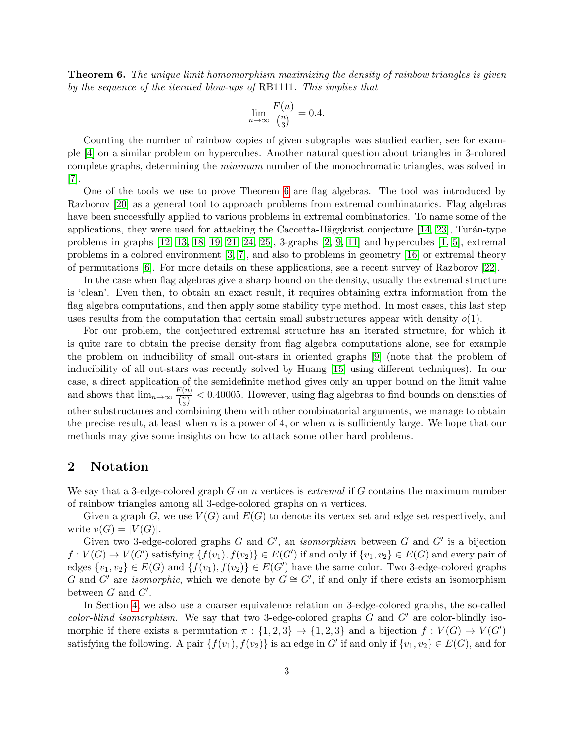<span id="page-2-0"></span>**Theorem 6.** The unique limit homomorphism maximizing the density of rainbow triangles is given by the sequence of the iterated blow-ups of RB1111. This implies that

$$
\lim_{n \to \infty} \frac{F(n)}{\binom{n}{3}} = 0.4.
$$

Counting the number of rainbow copies of given subgraphs was studied earlier, see for example [\[4\]](#page-22-1) on a similar problem on hypercubes. Another natural question about triangles in 3-colored complete graphs, determining the minimum number of the monochromatic triangles, was solved in  $|7|$ .

One of the tools we use to prove Theorem [6](#page-2-0) are flag algebras. The tool was introduced by Razborov [\[20\]](#page-23-1) as a general tool to approach problems from extremal combinatorics. Flag algebras have been successfully applied to various problems in extremal combinatorics. To name some of the applications, they were used for attacking the Caccetta-Häggkvist conjecture  $[14, 23]$  $[14, 23]$ , Turán-type problems in graphs [\[12,](#page-22-4) [13,](#page-22-5) [18,](#page-23-3) [19,](#page-23-4) [21,](#page-23-5) [24,](#page-23-6) [25\]](#page-23-7), 3-graphs [\[2,](#page-22-6) [9,](#page-22-7) [11\]](#page-22-8) and hypercubes [\[1,](#page-22-9) [5\]](#page-22-10), extremal problems in a colored environment [\[3,](#page-22-11) [7\]](#page-22-2), and also to problems in geometry [\[16\]](#page-23-8) or extremal theory of permutations [\[6\]](#page-22-12). For more details on these applications, see a recent survey of Razborov [\[22\]](#page-23-9).

In the case when flag algebras give a sharp bound on the density, usually the extremal structure is 'clean'. Even then, to obtain an exact result, it requires obtaining extra information from the flag algebra computations, and then apply some stability type method. In most cases, this last step uses results from the computation that certain small substructures appear with density  $o(1)$ .

For our problem, the conjectured extremal structure has an iterated structure, for which it is quite rare to obtain the precise density from flag algebra computations alone, see for example the problem on inducibility of small out-stars in oriented graphs [\[9\]](#page-22-7) (note that the problem of inducibility of all out-stars was recently solved by Huang [\[15\]](#page-23-10) using different techniques). In our case, a direct application of the semidefinite method gives only an upper bound on the limit value and shows that  $\lim_{n\to\infty} \frac{F(n)}{F(n)}$  $\frac{\binom{n}{n}}{\binom{n}{3}}$  < 0.40005. However, using flag algebras to find bounds on densities of other substructures and combining them with other combinatorial arguments, we manage to obtain the precise result, at least when n is a power of 4, or when n is sufficiently large. We hope that our methods may give some insights on how to attack some other hard problems.

### <span id="page-2-1"></span>2 Notation

We say that a 3-edge-colored graph  $G$  on n vertices is *extremal* if  $G$  contains the maximum number of rainbow triangles among all 3-edge-colored graphs on n vertices.

Given a graph G, we use  $V(G)$  and  $E(G)$  to denote its vertex set and edge set respectively, and write  $v(G) = |V(G)|$ .

Given two 3-edge-colored graphs  $G$  and  $G'$ , an *isomorphism* between  $G$  and  $G'$  is a bijection  $f: V(G) \to V(G')$  satisfying  $\{f(v_1), f(v_2)\} \in E(G')$  if and only if  $\{v_1, v_2\} \in E(G)$  and every pair of edges  $\{v_1, v_2\} \in E(G)$  and  $\{f(v_1), f(v_2)\} \in E(G')$  have the same color. Two 3-edge-colored graphs G and G' are *isomorphic*, which we denote by  $G \cong G'$ , if and only if there exists an isomorphism between  $G$  and  $G'$ .

In Section [4,](#page-5-0) we also use a coarser equivalence relation on 3-edge-colored graphs, the so-called color-blind isomorphism. We say that two 3-edge-colored graphs  $G$  and  $G'$  are color-blindly isomorphic if there exists a permutation  $\pi : \{1,2,3\} \to \{1,2,3\}$  and a bijection  $f : V(G) \to V(G')$ satisfying the following. A pair  $\{f(v_1), f(v_2)\}$  is an edge in G' if and only if  $\{v_1, v_2\} \in E(G)$ , and for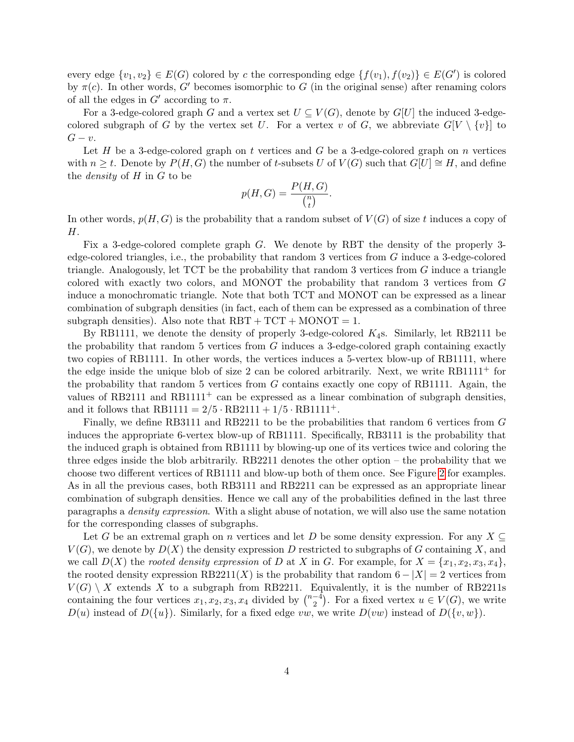every edge  $\{v_1, v_2\} \in E(G)$  colored by c the corresponding edge  $\{f(v_1), f(v_2)\} \in E(G')$  is colored by  $\pi(c)$ . In other words, G' becomes isomorphic to G (in the original sense) after renaming colors of all the edges in  $G'$  according to  $\pi$ .

For a 3-edge-colored graph G and a vertex set  $U \subseteq V(G)$ , denote by  $G[U]$  the induced 3-edgecolored subgraph of G by the vertex set U. For a vertex v of G, we abbreviate  $G[V \setminus \{v\}]$  to  $G-v.$ 

Let H be a 3-edge-colored graph on t vertices and G be a 3-edge-colored graph on n vertices with  $n \geq t$ . Denote by  $P(H, G)$  the number of t-subsets U of  $V(G)$  such that  $G[U] \cong H$ , and define the density of H in G to be

$$
p(H, G) = \frac{P(H, G)}{\binom{n}{t}}.
$$

In other words,  $p(H, G)$  is the probability that a random subset of  $V(G)$  of size t induces a copy of H.

Fix a 3-edge-colored complete graph G. We denote by RBT the density of the properly 3 edge-colored triangles, i.e., the probability that random 3 vertices from G induce a 3-edge-colored triangle. Analogously, let TCT be the probability that random 3 vertices from G induce a triangle colored with exactly two colors, and MONOT the probability that random 3 vertices from G induce a monochromatic triangle. Note that both TCT and MONOT can be expressed as a linear combination of subgraph densities (in fact, each of them can be expressed as a combination of three subgraph densities). Also note that  $RBT + TCT + MONOT = 1$ .

By RB1111, we denote the density of properly 3-edge-colored  $K_4$ s. Similarly, let RB2111 be the probability that random 5 vertices from  $G$  induces a 3-edge-colored graph containing exactly two copies of RB1111. In other words, the vertices induces a 5-vertex blow-up of RB1111, where the edge inside the unique blob of size 2 can be colored arbitrarily. Next, we write RB1111<sup>+</sup> for the probability that random 5 vertices from  $G$  contains exactly one copy of RB1111. Again, the values of RB2111 and RB1111<sup>+</sup> can be expressed as a linear combination of subgraph densities, and it follows that  $RB1111 = 2/5 \cdot RB2111 + 1/5 \cdot RB1111^+$ .

Finally, we define RB3111 and RB2211 to be the probabilities that random 6 vertices from G induces the appropriate 6-vertex blow-up of RB1111. Specifically, RB3111 is the probability that the induced graph is obtained from RB1111 by blowing-up one of its vertices twice and coloring the three edges inside the blob arbitrarily. RB2211 denotes the other option – the probability that we choose two different vertices of RB1111 and blow-up both of them once. See Figure [2](#page-4-0) for examples. As in all the previous cases, both RB3111 and RB2211 can be expressed as an appropriate linear combination of subgraph densities. Hence we call any of the probabilities defined in the last three paragraphs a density expression. With a slight abuse of notation, we will also use the same notation for the corresponding classes of subgraphs.

Let G be an extremal graph on n vertices and let D be some density expression. For any  $X \subseteq$  $V(G)$ , we denote by  $D(X)$  the density expression D restricted to subgraphs of G containing X, and we call  $D(X)$  the rooted density expression of D at X in G. For example, for  $X = \{x_1, x_2, x_3, x_4\}$ , the rooted density expression RB2211(X) is the probability that random  $6 - |X| = 2$  vertices from  $V(G) \setminus X$  extends X to a subgraph from RB2211. Equivalently, it is the number of RB2211s containing the four vertices  $x_1, x_2, x_3, x_4$  divided by  $\binom{n-4}{2}$  $\binom{-4}{2}$ . For a fixed vertex  $u \in V(G)$ , we write  $D(u)$  instead of  $D({u})$ . Similarly, for a fixed edge vw, we write  $D(vw)$  instead of  $D({v,w})$ .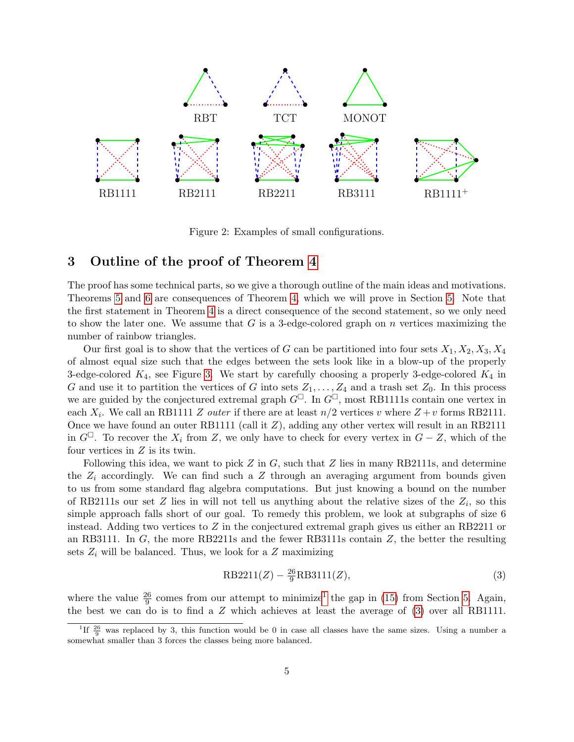

<span id="page-4-0"></span>Figure 2: Examples of small configurations.

### 3 Outline of the proof of Theorem [4](#page-1-3)

The proof has some technical parts, so we give a thorough outline of the main ideas and motivations. Theorems [5](#page-1-4) and [6](#page-2-0) are consequences of Theorem [4,](#page-1-3) which we will prove in Section [5.](#page-11-0) Note that the first statement in Theorem [4](#page-1-3) is a direct consequence of the second statement, so we only need to show the later one. We assume that  $G$  is a 3-edge-colored graph on  $n$  vertices maximizing the number of rainbow triangles.

Our first goal is to show that the vertices of G can be partitioned into four sets  $X_1, X_2, X_3, X_4$ of almost equal size such that the edges between the sets look like in a blow-up of the properly 3-edge-colored  $K_4$ , see Figure [3.](#page-13-0) We start by carefully choosing a properly 3-edge-colored  $K_4$  in G and use it to partition the vertices of G into sets  $Z_1, \ldots, Z_4$  and a trash set  $Z_0$ . In this process we are guided by the conjectured extremal graph  $G^{\Box}$ . In  $G^{\Box}$ , most RB1111s contain one vertex in each  $X_i$ . We call an RB1111 Z *outer* if there are at least  $n/2$  vertices v where  $Z + v$  forms RB2111. Once we have found an outer RB1111 (call it Z), adding any other vertex will result in an RB2111 in  $G^{\Box}$ . To recover the  $X_i$  from Z, we only have to check for every vertex in  $G - Z$ , which of the four vertices in  $Z$  is its twin.

Following this idea, we want to pick  $Z$  in  $G$ , such that  $Z$  lies in many RB2111s, and determine the  $Z_i$  accordingly. We can find such a Z through an averaging argument from bounds given to us from some standard flag algebra computations. But just knowing a bound on the number of RB2111s our set Z lies in will not tell us anything about the relative sizes of the  $Z_i$ , so this simple approach falls short of our goal. To remedy this problem, we look at subgraphs of size 6 instead. Adding two vertices to  $Z$  in the conjectured extremal graph gives us either an RB2211 or an RB3111. In  $G$ , the more RB2211s and the fewer RB3111s contain  $Z$ , the better the resulting sets  $Z_i$  will be balanced. Thus, we look for a  $Z$  maximizing

<span id="page-4-2"></span>
$$
RB2211(Z) - \frac{26}{9}RB3111(Z),\tag{3}
$$

where the value  $\frac{26}{9}$  comes from our attempt to minimize<sup>[1](#page-4-1)</sup> the gap in [\(15\)](#page-12-0) from Section [5.](#page-11-0) Again, the best we can do is to find a Z which achieves at least the average of [\(3\)](#page-4-2) over all RB1111.

<span id="page-4-1"></span><sup>&</sup>lt;sup>1</sup>If  $\frac{26}{9}$  was replaced by 3, this function would be 0 in case all classes have the same sizes. Using a number a somewhat smaller than 3 forces the classes being more balanced.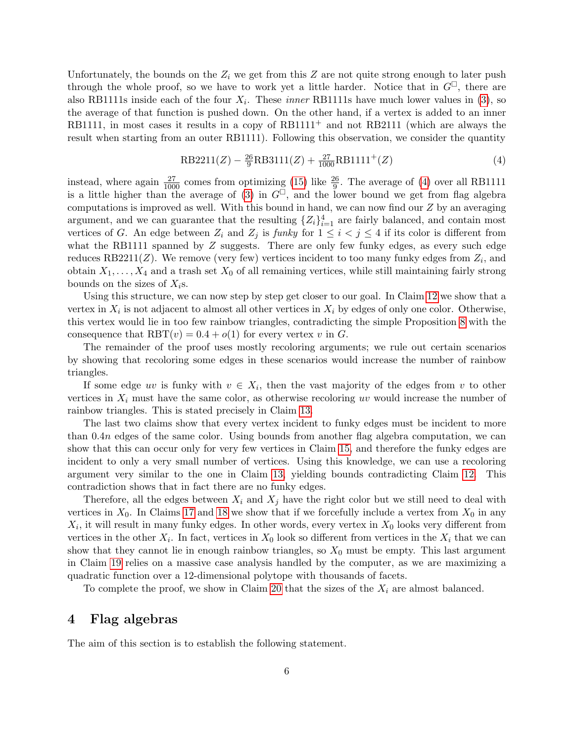Unfortunately, the bounds on the  $Z_i$  we get from this Z are not quite strong enough to later push through the whole proof, so we have to work yet a little harder. Notice that in  $G^{\Box}$ , there are also RB1111s inside each of the four  $X_i$ . These *inner* RB1111s have much lower values in [\(3\)](#page-4-2), so the average of that function is pushed down. On the other hand, if a vertex is added to an inner RB1111, in most cases it results in a copy of  $RB1111<sup>+</sup>$  and not RB2111 (which are always the result when starting from an outer RB1111). Following this observation, we consider the quantity

<span id="page-5-1"></span>
$$
RB2211(Z) - \frac{26}{9}RB3111(Z) + \frac{27}{1000}RB1111^+(Z)
$$
\n(4)

instead, where again  $\frac{27}{1000}$  comes from optimizing [\(15\)](#page-12-0) like  $\frac{26}{9}$ . The average of [\(4\)](#page-5-1) over all RB1111 is a little higher than the average of [\(3\)](#page-4-2) in  $G^{\Box}$ , and the lower bound we get from flag algebra computations is improved as well. With this bound in hand, we can now find our  $Z$  by an averaging argument, and we can guarantee that the resulting  $\{Z_i\}_{i=1}^4$  are fairly balanced, and contain most vertices of G. An edge between  $Z_i$  and  $Z_j$  is funky for  $1 \leq i < j \leq 4$  if its color is different from what the RB1111 spanned by  $Z$  suggests. There are only few funky edges, as every such edge reduces RB2211( $Z$ ). We remove (very few) vertices incident to too many funky edges from  $Z_i$ , and obtain  $X_1, \ldots, X_4$  and a trash set  $X_0$  of all remaining vertices, while still maintaining fairly strong bounds on the sizes of  $X_i$ s.

Using this structure, we can now step by step get closer to our goal. In Claim [12](#page-13-1) we show that a vertex in  $X_i$  is not adjacent to almost all other vertices in  $X_i$  by edges of only one color. Otherwise, this vertex would lie in too few rainbow triangles, contradicting the simple Proposition [8](#page-8-0) with the consequence that  $RBT(v) = 0.4 + o(1)$  for every vertex v in G.

The remainder of the proof uses mostly recoloring arguments; we rule out certain scenarios by showing that recoloring some edges in these scenarios would increase the number of rainbow triangles.

If some edge uv is funky with  $v \in X_i$ , then the vast majority of the edges from v to other vertices in  $X_i$  must have the same color, as otherwise recoloring uv would increase the number of rainbow triangles. This is stated precisely in Claim [13.](#page-14-0)

The last two claims show that every vertex incident to funky edges must be incident to more than 0.4n edges of the same color. Using bounds from another flag algebra computation, we can show that this can occur only for very few vertices in Claim [15,](#page-16-0) and therefore the funky edges are incident to only a very small number of vertices. Using this knowledge, we can use a recoloring argument very similar to the one in Claim [13,](#page-14-0) yielding bounds contradicting Claim [12.](#page-13-1) This contradiction shows that in fact there are no funky edges.

Therefore, all the edges between  $X_i$  and  $X_j$  have the right color but we still need to deal with vertices in  $X_0$ . In Claims [17](#page-17-0) and [18](#page-17-1) we show that if we forcefully include a vertex from  $X_0$  in any  $X_i$ , it will result in many funky edges. In other words, every vertex in  $X_0$  looks very different from vertices in the other  $X_i$ . In fact, vertices in  $X_0$  look so different from vertices in the  $X_i$  that we can show that they cannot lie in enough rainbow triangles, so  $X_0$  must be empty. This last argument in Claim [19](#page-19-0) relies on a massive case analysis handled by the computer, as we are maximizing a quadratic function over a 12-dimensional polytope with thousands of facets.

To complete the proof, we show in Claim [20](#page-20-0) that the sizes of the  $X_i$  are almost balanced.

# <span id="page-5-0"></span>4 Flag algebras

The aim of this section is to establish the following statement.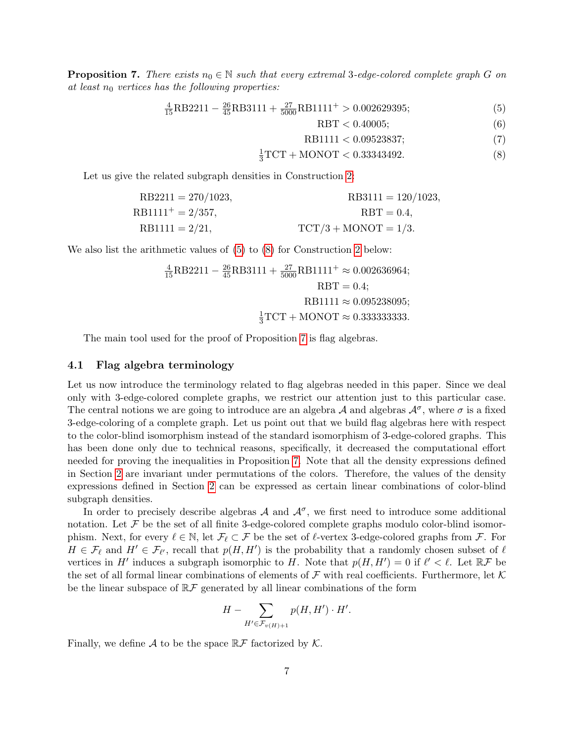<span id="page-6-2"></span>**Proposition 7.** There exists  $n_0 \in \mathbb{N}$  such that every extremal 3-edge-colored complete graph G on at least  $n_0$  vertices has the following properties:

$$
\frac{4}{15}RB2211 - \frac{26}{45}RB3111 + \frac{27}{5000}RB1111^+ > 0.002629395;
$$
 (5)

<span id="page-6-4"></span><span id="page-6-3"></span><span id="page-6-1"></span><span id="page-6-0"></span>
$$
RBT < 0.40005; \tag{6}
$$

$$
RB1111 < 0.09523837; \tag{7}
$$

$$
\frac{1}{3}TCT + MONOT < 0.33343492. \tag{8}
$$

Let us give the related subgraph densities in Construction [2:](#page-1-1)

$$
RB2211 = 270/1023,
$$
  
\nRB1111<sup>+</sup> = 2/357,  
\nRB1111 = 2/21,  
\nRB1111 = 2/21,  
\nTCT/3 + MONOT = 1/3.

We also list the arithmetic values of  $(5)$  to  $(8)$  for Construction [2](#page-1-1) below:

$$
\frac{4}{15}RB2211 - \frac{26}{45}RB3111 + \frac{27}{5000}RB1111^+ \approx 0.002636964;
$$
  
RBT = 0.4;  
RB1111  $\approx$  0.095238095;  

$$
\frac{1}{3}TCT + MONOT \approx 0.3333333333.
$$

The main tool used for the proof of Proposition [7](#page-6-2) is flag algebras.

#### 4.1 Flag algebra terminology

Let us now introduce the terminology related to flag algebras needed in this paper. Since we deal only with 3-edge-colored complete graphs, we restrict our attention just to this particular case. The central notions we are going to introduce are an algebra A and algebras  $\mathcal{A}^{\sigma}$ , where  $\sigma$  is a fixed 3-edge-coloring of a complete graph. Let us point out that we build flag algebras here with respect to the color-blind isomorphism instead of the standard isomorphism of 3-edge-colored graphs. This has been done only due to technical reasons, specifically, it decreased the computational effort needed for proving the inequalities in Proposition [7.](#page-6-2) Note that all the density expressions defined in Section [2](#page-2-1) are invariant under permutations of the colors. Therefore, the values of the density expressions defined in Section [2](#page-2-1) can be expressed as certain linear combinations of color-blind subgraph densities.

In order to precisely describe algebras  $A$  and  $A^{\sigma}$ , we first need to introduce some additional notation. Let  $\mathcal F$  be the set of all finite 3-edge-colored complete graphs modulo color-blind isomorphism. Next, for every  $\ell \in \mathbb{N}$ , let  $\mathcal{F}_{\ell} \subset \mathcal{F}$  be the set of  $\ell$ -vertex 3-edge-colored graphs from  $\mathcal{F}$ . For  $H \in \mathcal{F}_\ell$  and  $H' \in \mathcal{F}_{\ell'}$ , recall that  $p(H, H')$  is the probability that a randomly chosen subset of  $\ell$ vertices in H' induces a subgraph isomorphic to H. Note that  $p(H, H') = 0$  if  $\ell' < \ell$ . Let  $\mathbb{R} \mathcal{F}$  be the set of all formal linear combinations of elements of  $\mathcal F$  with real coefficients. Furthermore, let  $\mathcal K$ be the linear subspace of  $\mathbb{R} \mathcal{F}$  generated by all linear combinations of the form

$$
H - \sum_{H' \in \mathcal{F}_{v(H)+1}} p(H,H') \cdot H'.
$$

Finally, we define A to be the space  $\mathbb{R} \mathcal{F}$  factorized by K.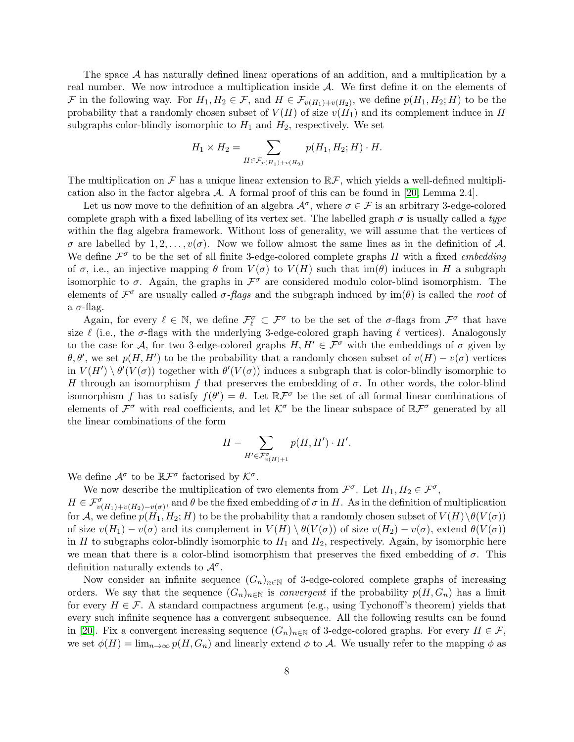The space A has naturally defined linear operations of an addition, and a multiplication by a real number. We now introduce a multiplication inside  $A$ . We first define it on the elements of F in the following way. For  $H_1, H_2 \in \mathcal{F}$ , and  $H \in \mathcal{F}_{v(H_1)+v(H_2)}$ , we define  $p(H_1, H_2; H)$  to be the probability that a randomly chosen subset of  $V(H)$  of size  $v(H_1)$  and its complement induce in H subgraphs color-blindly isomorphic to  $H_1$  and  $H_2$ , respectively. We set

$$
H_1 \times H_2 = \sum_{H \in \mathcal{F}_v(H_1) + v(H_2)} p(H_1, H_2; H) \cdot H.
$$

The multiplication on F has a unique linear extension to  $\mathbb{R}$ F, which yields a well-defined multiplication also in the factor algebra  $\mathcal A$ . A formal proof of this can be found in [\[20,](#page-23-1) Lemma 2.4].

Let us now move to the definition of an algebra  $\mathcal{A}^{\sigma}$ , where  $\sigma \in \mathcal{F}$  is an arbitrary 3-edge-colored complete graph with a fixed labelling of its vertex set. The labelled graph  $\sigma$  is usually called a type within the flag algebra framework. Without loss of generality, we will assume that the vertices of  $\sigma$  are labelled by 1, 2, ...,  $v(\sigma)$ . Now we follow almost the same lines as in the definition of A. We define  $\mathcal{F}^{\sigma}$  to be the set of all finite 3-edge-colored complete graphs H with a fixed *embedding* of  $\sigma$ , i.e., an injective mapping  $\theta$  from  $V(\sigma)$  to  $V(H)$  such that im( $\theta$ ) induces in H a subgraph isomorphic to  $\sigma$ . Again, the graphs in  $\mathcal{F}^{\sigma}$  are considered modulo color-blind isomorphism. The elements of  $\mathcal{F}^{\sigma}$  are usually called  $\sigma$ -*flags* and the subgraph induced by  $\text{im}(\theta)$  is called the *root* of a  $\sigma$ -flag.

Again, for every  $\ell \in \mathbb{N}$ , we define  $\mathcal{F}_{\ell}^{\sigma} \subset \mathcal{F}^{\sigma}$  to be the set of the  $\sigma$ -flags from  $\mathcal{F}^{\sigma}$  that have size  $\ell$  (i.e., the  $\sigma$ -flags with the underlying 3-edge-colored graph having  $\ell$  vertices). Analogously to the case for A, for two 3-edge-colored graphs  $H, H' \in \mathcal{F}^{\sigma}$  with the embeddings of  $\sigma$  given by  $\theta, \theta'$ , we set  $p(H, H')$  to be the probability that a randomly chosen subset of  $v(H) - v(\sigma)$  vertices in  $V(H') \setminus \theta'(V(\sigma))$  together with  $\theta'(V(\sigma))$  induces a subgraph that is color-blindly isomorphic to H through an isomorphism f that preserves the embedding of  $\sigma$ . In other words, the color-blind isomorphism f has to satisfy  $f(\theta') = \theta$ . Let  $\mathbb{R} \mathcal{F}^{\sigma}$  be the set of all formal linear combinations of elements of  $\mathcal{F}^{\sigma}$  with real coefficients, and let  $\mathcal{K}^{\sigma}$  be the linear subspace of  $\mathbb{R}\mathcal{F}^{\sigma}$  generated by all the linear combinations of the form

$$
H - \sum_{H' \in \mathcal{F}_{v(H)+1}^{\sigma}} p(H, H') \cdot H'.
$$

We define  $\mathcal{A}^{\sigma}$  to be  $\mathbb{R}\mathcal{F}^{\sigma}$  factorised by  $\mathcal{K}^{\sigma}$ .

We now describe the multiplication of two elements from  $\mathcal{F}^{\sigma}$ . Let  $H_1, H_2 \in \mathcal{F}^{\sigma}$ ,

 $H \in \mathcal{F}_{v(H_1)+v(H_2)-v(\sigma)}^{\sigma}$ , and  $\theta$  be the fixed embedding of  $\sigma$  in H. As in the definition of multiplication for A, we define  $p(H_1, H_2; H)$  to be the probability that a randomly chosen subset of  $V(H)\setminus \theta(V(\sigma))$ of size  $v(H_1) - v(\sigma)$  and its complement in  $V(H) \setminus \theta(V(\sigma))$  of size  $v(H_2) - v(\sigma)$ , extend  $\theta(V(\sigma))$ in H to subgraphs color-blindly isomorphic to  $H_1$  and  $H_2$ , respectively. Again, by isomorphic here we mean that there is a color-blind isomorphism that preserves the fixed embedding of  $\sigma$ . This definition naturally extends to  $\mathcal{A}^{\sigma}$ .

Now consider an infinite sequence  $(G_n)_{n\in\mathbb{N}}$  of 3-edge-colored complete graphs of increasing orders. We say that the sequence  $(G_n)_{n\in\mathbb{N}}$  is *convergent* if the probability  $p(H, G_n)$  has a limit for every  $H \in \mathcal{F}$ . A standard compactness argument (e.g., using Tychonoff's theorem) yields that every such infinite sequence has a convergent subsequence. All the following results can be found in [\[20\]](#page-23-1). Fix a convergent increasing sequence  $(G_n)_{n\in\mathbb{N}}$  of 3-edge-colored graphs. For every  $H \in \mathcal{F}$ , we set  $\phi(H) = \lim_{n\to\infty} p(H, G_n)$  and linearly extend  $\phi$  to A. We usually refer to the mapping  $\phi$  as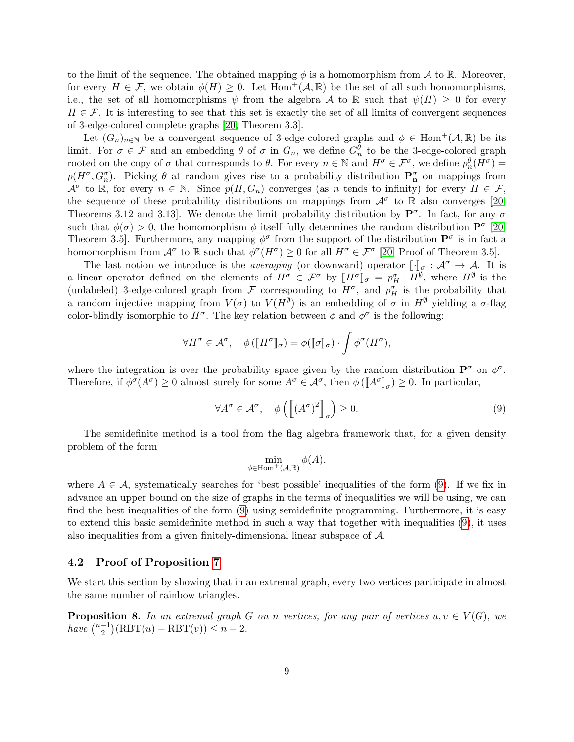to the limit of the sequence. The obtained mapping  $\phi$  is a homomorphism from A to R. Moreover, for every  $H \in \mathcal{F}$ , we obtain  $\phi(H) \geq 0$ . Let  $\text{Hom}^+(\mathcal{A}, \mathbb{R})$  be the set of all such homomorphisms, i.e., the set of all homomorphisms  $\psi$  from the algebra A to R such that  $\psi(H) \geq 0$  for every  $H \in \mathcal{F}$ . It is interesting to see that this set is exactly the set of all limits of convergent sequences of 3-edge-colored complete graphs [\[20,](#page-23-1) Theorem 3.3].

Let  $(G_n)_{n\in\mathbb{N}}$  be a convergent sequence of 3-edge-colored graphs and  $\phi \in \text{Hom}^+(\mathcal{A}, \mathbb{R})$  be its limit. For  $\sigma \in \mathcal{F}$  and an embedding  $\theta$  of  $\sigma$  in  $G_n$ , we define  $G_n^{\theta}$  to be the 3-edge-colored graph rooted on the copy of  $\sigma$  that corresponds to  $\theta$ . For every  $n \in \mathbb{N}$  and  $H^{\sigma} \in \mathcal{F}^{\sigma}$ , we define  $p_n^{\theta}(H^{\sigma}) =$  $p(H^{\sigma}, G_n^{\sigma})$ . Picking  $\theta$  at random gives rise to a probability distribution  $\mathbf{P}_n^{\sigma}$  on mappings from  $\mathcal{A}^{\sigma}$  to  $\mathbb{R}$ , for every  $n \in \mathbb{N}$ . Since  $p(H, G_n)$  converges (as n tends to infinity) for every  $H \in \mathcal{F}$ , the sequence of these probability distributions on mappings from  $\mathcal{A}^{\sigma}$  to R also converges [\[20,](#page-23-1) Theorems 3.12 and 3.13. We denote the limit probability distribution by  $\mathbf{P}^{\sigma}$ . In fact, for any  $\sigma$ such that  $\phi(\sigma) > 0$ , the homomorphism  $\phi$  itself fully determines the random distribution  $\mathbf{P}^{\sigma}$  [\[20,](#page-23-1) Theorem 3.5. Furthermore, any mapping  $\phi^{\sigma}$  from the support of the distribution  $\mathbf{P}^{\sigma}$  is in fact a homomorphism from  $\mathcal{A}^{\sigma}$  to R such that  $\phi^{\sigma}(H^{\sigma}) \geq 0$  for all  $H^{\sigma} \in \mathcal{F}^{\sigma}$  [\[20,](#page-23-1) Proof of Theorem 3.5].

The last notion we introduce is the *averaging* (or downward) operator  $\llbracket \cdot \rrbracket_{\sigma} : \mathcal{A}^{\sigma} \to \mathcal{A}$ . It is a linear operator defined on the elements of  $H^{\sigma} \in \mathcal{F}^{\sigma}$  by  $[[H^{\sigma}]]_{\sigma} = p_H^{\sigma} \cdot H^{\emptyset}$ , where  $H^{\emptyset}$  is the undebtack  $H^{\sigma}$  order and  $H^{\sigma}$  and  $H^{\sigma}$  is the unobsolutive that (unlabeled) 3-edge-colored graph from F corresponding to  $H^{\sigma}$ , and  $p_H^{\sigma}$  is the probability that a random injective mapping from  $V(\sigma)$  to  $V(H^{\emptyset})$  is an embedding of  $\sigma$  in  $H^{\emptyset}$  yielding a  $\sigma$ -flag color-blindly isomorphic to  $H^{\sigma}$ . The key relation between  $\phi$  and  $\phi^{\sigma}$  is the following:

$$
\forall H^{\sigma} \in \mathcal{A}^{\sigma}, \quad \phi \left( \llbracket H^{\sigma} \rrbracket_{\sigma} \right) = \phi \left( \llbracket \sigma \rrbracket_{\sigma} \right) \cdot \int \phi^{\sigma} (H^{\sigma}),
$$

where the integration is over the probability space given by the random distribution  $\mathbf{P}^{\sigma}$  on  $\phi^{\sigma}$ . Therefore, if  $\phi^{\sigma}(A^{\sigma}) \ge 0$  almost surely for some  $A^{\sigma} \in \mathcal{A}^{\sigma}$ , then  $\phi(\llbracket A^{\sigma} \rrbracket_{\sigma}) \ge 0$ . In particular,

<span id="page-8-1"></span>
$$
\forall A^{\sigma} \in \mathcal{A}^{\sigma}, \quad \phi \left( \left[ (A^{\sigma})^2 \right]_{\sigma} \right) \ge 0. \tag{9}
$$

The semidefinite method is a tool from the flag algebra framework that, for a given density problem of the form

$$
\min_{\phi \in \mathrm{Hom}^+(\mathcal{A}, \mathbb{R})} \phi(A),
$$

where  $A \in \mathcal{A}$ , systematically searches for 'best possible' inequalities of the form [\(9\)](#page-8-1). If we fix in advance an upper bound on the size of graphs in the terms of inequalities we will be using, we can find the best inequalities of the form [\(9\)](#page-8-1) using semidefinite programming. Furthermore, it is easy to extend this basic semidefinite method in such a way that together with inequalities [\(9\)](#page-8-1), it uses also inequalities from a given finitely-dimensional linear subspace of A.

#### 4.2 Proof of Proposition [7](#page-6-2)

We start this section by showing that in an extremal graph, every two vertices participate in almost the same number of rainbow triangles.

<span id="page-8-0"></span>**Proposition 8.** In an extremal graph G on n vertices, for any pair of vertices  $u, v \in V(G)$ , we have  $\binom{n-1}{2}$  $\binom{-1}{2} (RBT(u) - RBT(v)) \leq n-2.$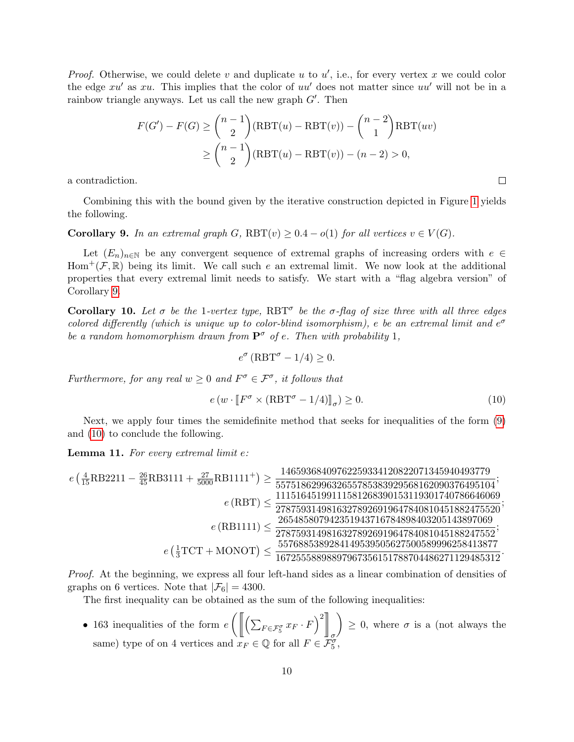*Proof.* Otherwise, we could delete v and duplicate u to  $u'$ , i.e., for every vertex x we could color the edge  $xu'$  as  $xu$ . This implies that the color of  $uu'$  does not matter since  $uu'$  will not be in a rainbow triangle anyways. Let us call the new graph  $G'$ . Then

$$
F(G') - F(G) \ge {n-1 \choose 2} (RBT(u) - RBT(v)) - {n-2 \choose 1} RBT(uv)
$$
  
 
$$
\ge {n-1 \choose 2} (RBT(u) - RBT(v)) - (n-2) > 0,
$$

a contradiction.

Combining this with the bound given by the iterative construction depicted in Figure [1](#page-1-0) yields the following.

#### <span id="page-9-0"></span>Corollary 9. In an extremal graph G,  $RBT(v) \geq 0.4 - o(1)$  for all vertices  $v \in V(G)$ .

Let  $(E_n)_{n\in\mathbb{N}}$  be any convergent sequence of extremal graphs of increasing orders with  $e \in$ Hom<sup>+</sup>( $\mathcal{F}, \mathbb{R}$ ) being its limit. We call such e an extremal limit. We now look at the additional properties that every extremal limit needs to satisfy. We start with a "flag algebra version" of Corollary [9.](#page-9-0)

Corollary 10. Let  $\sigma$  be the 1-vertex type, RBT<sup> $\sigma$ </sup> be the  $\sigma$ -flag of size three with all three edges colored differently (which is unique up to color-blind isomorphism), e be an extremal limit and  $e^{\sigma}$ be a random homomorphism drawn from  $\mathbf{P}^{\sigma}$  of e. Then with probability 1,

$$
e^{\sigma} \left( \text{RBT}^{\sigma} - 1/4 \right) \ge 0.
$$

Furthermore, for any real  $w \geq 0$  and  $F^{\sigma} \in \mathcal{F}^{\sigma}$ , it follows that

<span id="page-9-1"></span>
$$
e(w \cdot [F^{\sigma} \times (\text{RBT}^{\sigma} - 1/4)]_{\sigma}) \ge 0. \tag{10}
$$

 $\Box$ 

Next, we apply four times the semidefinite method that seeks for inequalities of the form [\(9\)](#page-8-1) and [\(10\)](#page-9-1) to conclude the following.

<span id="page-9-2"></span>Lemma 11. For every extremal limit e:

$$
e\left(\frac{4}{15}\text{RB}2211-\frac{26}{45}\text{RB}3111+\frac{27}{5000}\text{RB}1111^+\right)\geq\frac{14659368409762259334120822071345940493779}{5575186299632655785383929568162090376495104};\\e(\text{RBT})\leq\frac{11151645199111581268390153119301740786646069}{27875931498163278926919647840810451882475520};\\e(\text{RB1111})\leq\frac{265485807942351943716784898403205143897069}{2787593149816327892691964784081045188247552};\\e\left(\frac{1}{3}\text{TCT}+\text{MONOT}\right)\leq\frac{5576885389284149539505627500589996258413877}{1672555889897967356151788704486271129485312}.
$$

Proof. At the beginning, we express all four left-hand sides as a linear combination of densities of graphs on 6 vertices. Note that  $|\mathcal{F}_6| = 4300$ .

The first inequality can be obtained as the sum of the following inequalities:

• 163 inequalities of the form  $e\left(\left\|\left(\sum_{F\in\mathcal{F}_5^{\sigma}}x_F\cdot F\right)^2\right\|_{\infty}\right)$ σ  $\Big) \geq 0$ , where  $\sigma$  is a (not always the same) type of on 4 vertices and  $x_F \in \mathbb{Q}$  for all  $F \in \mathcal{F}_5^{\sigma}$ ,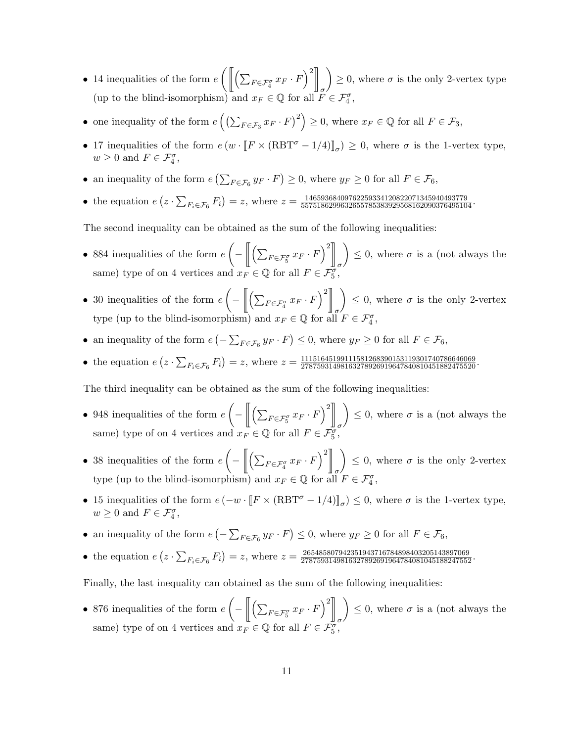- 14 inequalities of the form  $e\left(\left\|\left(\sum_{F\in\mathcal{F}_4^{\sigma}}x_F\cdot F\right)^2\right\|_2\right)\geq 0$ , where  $\sigma$  is the only 2-vertex type (up to the blind-isomorphism) and  $x_F \in \mathbb{Q}$  for all  $F \in \mathcal{F}_4^{\sigma}$ ,
- one inequality of the form  $e\left(\left(\sum_{F \in \mathcal{F}_3} x_F \cdot F\right)^2\right) \geq 0$ , where  $x_F \in \mathbb{Q}$  for all  $F \in \mathcal{F}_3$ ,
- 17 inequalities of the form  $e(w \cdot [F \times (RBT^{\sigma} 1/4)]_{\sigma}) \ge 0$ , where  $\sigma$  is the 1-vertex type,  $w \geq 0$  and  $F \in \mathcal{F}_4^{\sigma}$ ,
- an inequality of the form  $e\left(\sum_{F \in \mathcal{F}_6} y_F \cdot F\right) \geq 0$ , where  $y_F \geq 0$  for all  $F \in \mathcal{F}_6$ ,
- the equation  $e(z \cdot \sum_{F_i \in \mathcal{F}_6} F_i) = z$ , where  $z = \frac{14659368409762259334120822071345940493779}{5575186299632655785383929568162090376495104}$ .

The second inequality can be obtained as the sum of the following inequalities:

- 884 inequalities of the form  $e\left(-\left\|\left(\sum_{F\in\mathcal{F}_{5}^{g}}x_{F}\cdot F\right)^{2}\right\|_{0}\right)\right\}\leq 0$ , where  $\sigma$  is a (not always the same) type of on 4 vertices and  $x_F \in \mathbb{Q}$  for all  $F \in \mathcal{F}_{5}^g$ ,
- 30 inequalities of the form  $e\left(-\left\|\left(\sum_{F\in\mathcal{F}_4^{\sigma}}x_F\cdot F\right)^2\right\|_2\right)\right\}\leq 0$ , where  $\sigma$  is the only 2-vertex type (up to the blind-isomorphism) and  $x_F \in \mathbb{Q}$  for all  $F \in \mathcal{F}_4^{\sigma}$ ,
- an inequality of the form  $e\left(-\sum_{F\in\mathcal{F}_6} y_F \cdot F\right) \leq 0$ , where  $y_F \geq 0$  for all  $F\in\mathcal{F}_6$ ,
- the equation  $e(z \cdot \sum_{F_i \in \mathcal{F}_6} F_i) = z$ , where  $z = \frac{11151645199111581268390153119301740786646069}{27875931498163278926919647840810451882475520}$ .

The third inequality can be obtained as the sum of the following inequalities:

- 948 inequalities of the form  $e\left(-\left\|\left(\sum_{F\in\mathcal{F}_5^{\sigma}}x_F\cdot F\right)^2\right\|_2\right)$ σ  $\Big) \leq 0$ , where  $\sigma$  is a (not always the same) type of on 4 vertices and  $x_F \in \mathbb{Q}$  for all  $F \in \mathcal{F}_5^{\sigma}$ ,
- 38 inequalities of the form  $e\left(-\left\|\left(\sum_{F\in\mathcal{F}_4^{\sigma}}x_F\cdot F\right)^2\right\|_2\right)$ σ  $\Big) \leq 0$ , where  $\sigma$  is the only 2-vertex type (up to the blind-isomorphism) and  $x_F \in \mathbb{Q}$  for all  $F \in \mathcal{F}_4^{\sigma}$ ,
- 15 inequalities of the form  $e(-w \cdot [F \times (\text{RBT}^{\sigma} 1/4)]_{\sigma}) \leq 0$ , where  $\sigma$  is the 1-vertex type,<br>  $w > 0$  and  $F \subset \mathcal{F}^{\sigma}$  $w \geq 0$  and  $F \in \mathcal{F}_4^{\sigma}$ ,
- an inequality of the form  $e\left(-\sum_{F\in\mathcal{F}_6} y_F \cdot F\right) \leq 0$ , where  $y_F \geq 0$  for all  $F\in\mathcal{F}_6$ ,
- the equation  $e(z \cdot \sum_{F_i \in \mathcal{F}_6} F_i) = z$ , where  $z = \frac{265485807942351943716784898403205143897069}{2787593149816327892691964784081045188247552}$ .

Finally, the last inequality can obtained as the sum of the following inequalities:

• 876 inequalities of the form  $e\left(-\left\|\left(\sum_{F\in\mathcal{F}_{5}^{g}}x_{F}\cdot F\right)^{2}\right\|_{0}\right)\right\}\leq 0$ , where  $\sigma$  is a (not always the same) type of on 4 vertices and  $x_F \in \mathbb{Q}$  for all  $F \in \mathcal{F}_{5}^g$ ,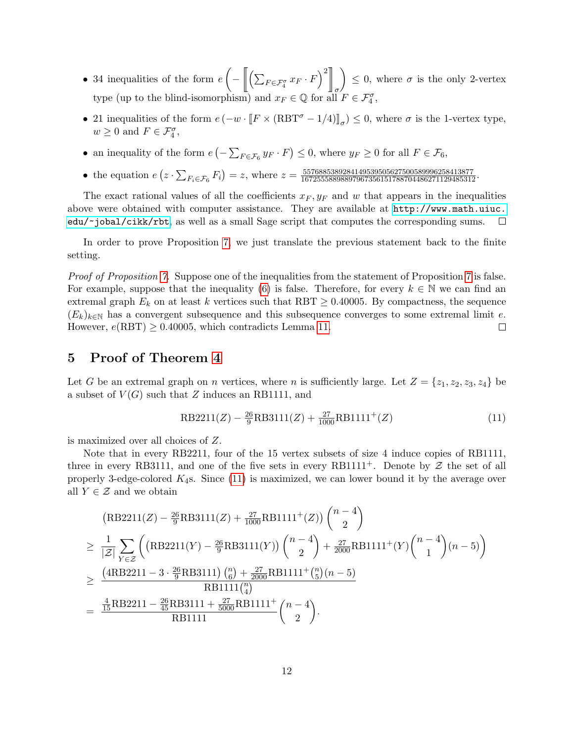- 34 inequalities of the form  $e\left(-\left\|\left(\sum_{F\in\mathcal{F}_4^{\sigma}}x_F\cdot F\right)^2\right\|_2\right)$ σ  $\Big) \leq 0$ , where  $\sigma$  is the only 2-vertex type (up to the blind-isomorphism) and  $x_F \in \mathbb{Q}$  for all  $F \in \mathcal{F}_4^{\sigma}$ ,
- 21 inequalities of the form  $e(-w \cdot [F \times (RBT^{\sigma} 1/4)]_{\sigma}) \leq 0$ , where  $\sigma$  is the 1-vertex type,  $w \geq 0$  and  $F \in \mathcal{F}_4^{\sigma}$ ,
- an inequality of the form  $e\left(-\sum_{F\in\mathcal{F}_6} y_F \cdot F\right) \leq 0$ , where  $y_F \geq 0$  for all  $F \in\mathcal{F}_6$ ,
- the equation  $e(z \cdot \sum_{F_i \in \mathcal{F}_6} F_i) = z$ , where  $z = \frac{5576885389284149539505627500589996258413877}{1672555898897967356151788704486271129485312}$ .

The exact rational values of all the coefficients  $x_F, y_F$  and w that appears in the inequalities above were obtained with computer assistance. They are available at [http://www.math.uiuc.](http://www.math.uiuc.edu/~jobal/cikk/rbt) [edu/~jobal/cikk/rbt](http://www.math.uiuc.edu/~jobal/cikk/rbt), as well as a small Sage script that computes the corresponding sums.  $\Box$ 

In order to prove Proposition [7,](#page-6-2) we just translate the previous statement back to the finite setting.

Proof of Proposition [7.](#page-6-2) Suppose one of the inequalities from the statement of Proposition [7](#page-6-2) is false. For example, suppose that the inequality [\(6\)](#page-6-3) is false. Therefore, for every  $k \in \mathbb{N}$  we can find an extremal graph  $E_k$  on at least k vertices such that RBT  $\geq$  0.40005. By compactness, the sequence  $(E_k)_{k\in\mathbb{N}}$  has a convergent subsequence and this subsequence converges to some extremal limit e. However,  $e(RBT) \geq 0.40005$ , which contradicts Lemma [11.](#page-9-2)  $\Box$ 

# <span id="page-11-0"></span>5 Proof of Theorem [4](#page-1-3)

Let G be an extremal graph on n vertices, where n is sufficiently large. Let  $Z = \{z_1, z_2, z_3, z_4\}$  be a subset of  $V(G)$  such that Z induces an RB1111, and

<span id="page-11-1"></span>
$$
RB2211(Z) - \frac{26}{9}RB3111(Z) + \frac{27}{1000}RB1111^+(Z)
$$
\n(11)

is maximized over all choices of Z.

Note that in every RB2211, four of the 15 vertex subsets of size 4 induce copies of RB1111, three in every RB3111, and one of the five sets in every RB1111<sup>+</sup>. Denote by  $\mathcal Z$  the set of all properly 3-edge-colored  $K_4$ s. Since  $(11)$  is maximized, we can lower bound it by the average over all  $Y \in \mathcal{Z}$  and we obtain

$$
\begin{split}\n\left(\text{RB2211}(Z) - \frac{26}{9}\text{RB3111}(Z) + \frac{27}{1000}\text{RB1111}^+(Z)\right) \binom{n-4}{2} \\
&\geq \frac{1}{|Z|} \sum_{Y \in \mathcal{Z}} \left( \left(\text{RB2211}(Y) - \frac{26}{9}\text{RB3111}(Y)\right) \binom{n-4}{2} + \frac{27}{2000}\text{RB1111}^+(Y) \binom{n-4}{1} (n-5) \right) \\
&\geq \frac{\left(4\text{RB2211} - 3 \cdot \frac{26}{9}\text{RB3111}\right) \binom{n}{6} + \frac{27}{2000}\text{RB1111}^+(n-5)}{\text{RB1111} \binom{n}{4}} \\
&= \frac{\frac{4}{15}\text{RB2211} - \frac{26}{45}\text{RB3111} + \frac{27}{5000}\text{RB1111}^+}{\text{RB1111}} \binom{n-4}{2}.\n\end{split}
$$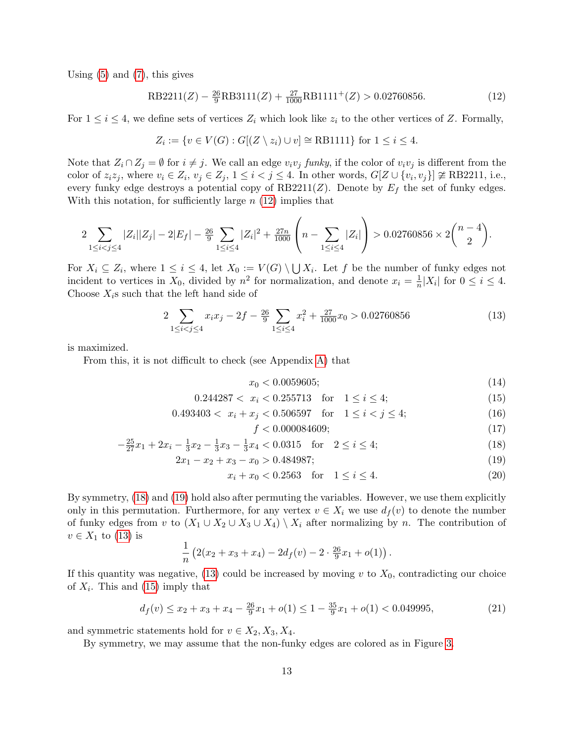Using [\(5\)](#page-6-0) and [\(7\)](#page-6-4), this gives

RB2211(Z) - 
$$
\frac{26}{9}
$$
RB3111(Z) +  $\frac{27}{1000}$ RB1111<sup>+</sup>(Z) > 0.02760856. (12)

For  $1 \leq i \leq 4$ , we define sets of vertices  $Z_i$  which look like  $z_i$  to the other vertices of Z. Formally,

<span id="page-12-1"></span>
$$
Z_i := \{ v \in V(G) : G[(Z \setminus z_i) \cup v] \cong \text{RB1111} \} \text{ for } 1 \le i \le 4.
$$

Note that  $Z_i \cap Z_j = \emptyset$  for  $i \neq j$ . We call an edge  $v_i v_j$  funky, if the color of  $v_i v_j$  is different from the color of  $z_i z_j$ , where  $v_i \in Z_i$ ,  $v_j \in Z_j$ ,  $1 \leq i < j \leq 4$ . In other words,  $G[Z \cup \{v_i, v_j\}] \ncong \text{RB2211, i.e.,}$ every funky edge destroys a potential copy of RB2211(Z). Denote by  $E_f$  the set of funky edges. With this notation, for sufficiently large  $n(12)$  $n(12)$  implies that

$$
2\sum_{1 \leq i < j \leq 4} |Z_i||Z_j| - 2|E_f| - \frac{26}{9} \sum_{1 \leq i \leq 4} |Z_i|^2 + \frac{27n}{1000} \left(n - \sum_{1 \leq i \leq 4} |Z_i|\right) > 0.02760856 \times 2\binom{n-4}{2}.
$$

For  $X_i \subseteq Z_i$ , where  $1 \leq i \leq 4$ , let  $X_0 := V(G) \setminus \bigcup X_i$ . Let f be the number of funky edges not incident to vertices in  $X_0$ , divided by  $n^2$  for normalization, and denote  $x_i = \frac{1}{n}|X_i|$  for  $0 \le i \le 4$ . Choose  $X_i$ s such that the left hand side of

$$
2\sum_{1 \le i < j \le 4} x_i x_j - 2f - \frac{26}{9} \sum_{1 \le i \le 4} x_i^2 + \frac{27}{1000} x_0 > 0.02760856 \tag{13}
$$

is maximized.

From this, it is not difficult to check (see Appendix [A\)](#page-23-11) that

<span id="page-12-9"></span><span id="page-12-4"></span>
$$
x_0 < 0.0059605; \tag{14}
$$

$$
0.244287 < x_i < 0.255713 \quad \text{for} \quad 1 \le i \le 4; \tag{15}
$$

$$
0.493403 < x_i + x_j < 0.506597 \quad \text{for} \quad 1 \le i < j \le 4; \tag{16}
$$

<span id="page-12-8"></span><span id="page-12-7"></span><span id="page-12-6"></span><span id="page-12-5"></span><span id="page-12-3"></span><span id="page-12-2"></span><span id="page-12-0"></span>
$$
f < 0.000084609; \tag{17}
$$

$$
-\frac{25}{27}x_1 + 2x_i - \frac{1}{3}x_2 - \frac{1}{3}x_3 - \frac{1}{3}x_4 < 0.0315 \quad \text{for} \quad 2 \le i \le 4; \tag{18}
$$

$$
2x_1 - x_2 + x_3 - x_0 > 0.484987;
$$
\n<sup>(19)</sup>

$$
x_i + x_0 < 0.2563 \quad \text{for} \quad 1 \le i \le 4. \tag{20}
$$

By symmetry, [\(18\)](#page-12-2) and [\(19\)](#page-12-3) hold also after permuting the variables. However, we use them explicitly only in this permutation. Furthermore, for any vertex  $v \in X_i$  we use  $d_f(v)$  to denote the number of funky edges from v to  $(X_1 \cup X_2 \cup X_3 \cup X_4) \setminus X_i$  after normalizing by n. The contribution of  $v \in X_1$  to [\(13\)](#page-12-4) is

$$
\frac{1}{n}\left(2(x_2+x_3+x_4)-2d_f(v)-2\cdot\frac{26}{9}x_1+o(1)\right).
$$

If this quantity was negative,  $(13)$  could be increased by moving v to  $X_0$ , contradicting our choice of  $X_i$ . This and [\(15\)](#page-12-0) imply that

$$
d_f(v) \le x_2 + x_3 + x_4 - \frac{26}{9}x_1 + o(1) \le 1 - \frac{35}{9}x_1 + o(1) < 0.049995,\tag{21}
$$

and symmetric statements hold for  $v \in X_2, X_3, X_4$ .

By symmetry, we may assume that the non-funky edges are colored as in Figure [3.](#page-13-0)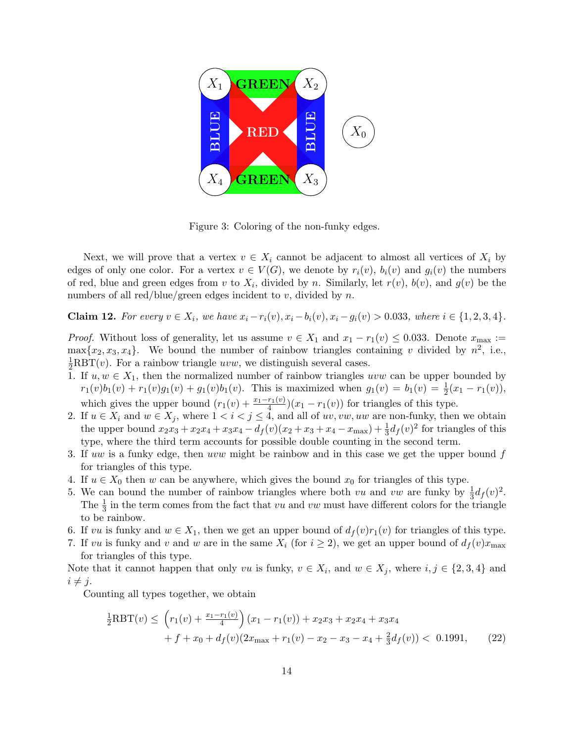

<span id="page-13-0"></span>Figure 3: Coloring of the non-funky edges.

Next, we will prove that a vertex  $v \in X_i$  cannot be adjacent to almost all vertices of  $X_i$  by edges of only one color. For a vertex  $v \in V(G)$ , we denote by  $r_i(v)$ ,  $b_i(v)$  and  $g_i(v)$  the numbers of red, blue and green edges from v to  $X_i$ , divided by n. Similarly, let  $r(v)$ ,  $b(v)$ , and  $g(v)$  be the numbers of all red/blue/green edges incident to  $v$ , divided by  $n$ .

<span id="page-13-1"></span>**Claim 12.** For every  $v \in X_i$ , we have  $x_i - r_i(v)$ ,  $x_i - b_i(v)$ ,  $x_i - g_i(v) > 0.033$ , where  $i \in \{1, 2, 3, 4\}$ .

*Proof.* Without loss of generality, let us assume  $v \in X_1$  and  $x_1 - r_1(v) \le 0.033$ . Denote  $x_{\text{max}} :=$  $\max\{x_2, x_3, x_4\}.$  We bound the number of rainbow triangles containing v divided by  $n^2$ , i.e.,  $\frac{1}{2}$ RBT(*v*). For a rainbow triangle *uvw*, we distinguish several cases.

- 1. If  $u, w \in X_1$ , then the normalized number of rainbow triangles uvw can be upper bounded by  $r_1(v)b_1(v) + r_1(v)g_1(v) + g_1(v)b_1(v)$ . This is maximized when  $g_1(v) = b_1(v) = \frac{1}{2}(x_1 - r_1(v)),$ which gives the upper bound  $(r_1(v) + \frac{x_1-r_1(v)}{4})(x_1 - r_1(v))$  for triangles of this type.
- 2. If  $u \in X_i$  and  $w \in X_j$ , where  $1 < i < j \le 4$ , and all of uv, vw, uw are non-funky, then we obtain the upper bound  $x_2x_3 + x_2x_4 + x_3x_4 - d_f(v)(x_2 + x_3 + x_4 - x_{\text{max}}) + \frac{1}{3}d_f(v)^2$  for triangles of this type, where the third term accounts for possible double counting in the second term.
- 3. If uw is a funky edge, then uvw might be rainbow and in this case we get the upper bound f for triangles of this type.
- 4. If  $u \in X_0$  then w can be anywhere, which gives the bound  $x_0$  for triangles of this type.
- 5. We can bound the number of rainbow triangles where both vu and vw are funky by  $\frac{1}{3}d_f(v)^2$ . The  $\frac{1}{3}$  in the term comes from the fact that vu and vu must have different colors for the triangle to be rainbow.
- 6. If vu is funky and  $w \in X_1$ , then we get an upper bound of  $d_f(v)r_1(v)$  for triangles of this type.
- 7. If vu is funky and v and w are in the same  $X_i$  (for  $i \geq 2$ ), we get an upper bound of  $d_f(v)x_{\text{max}}$ for triangles of this type.

Note that it cannot happen that only vu is funky,  $v \in X_i$ , and  $w \in X_j$ , where  $i, j \in \{2, 3, 4\}$  and  $i \neq j$ .

Counting all types together, we obtain

<span id="page-13-2"></span>
$$
\frac{1}{2}RBT(v) \leq \left(r_1(v) + \frac{x_1 - r_1(v)}{4}\right)(x_1 - r_1(v)) + x_2x_3 + x_2x_4 + x_3x_4
$$
  
+  $f + x_0 + df(v)(2x_{\text{max}} + r_1(v) - x_2 - x_3 - x_4 + \frac{2}{3}df(v)) < 0.1991,$  (22)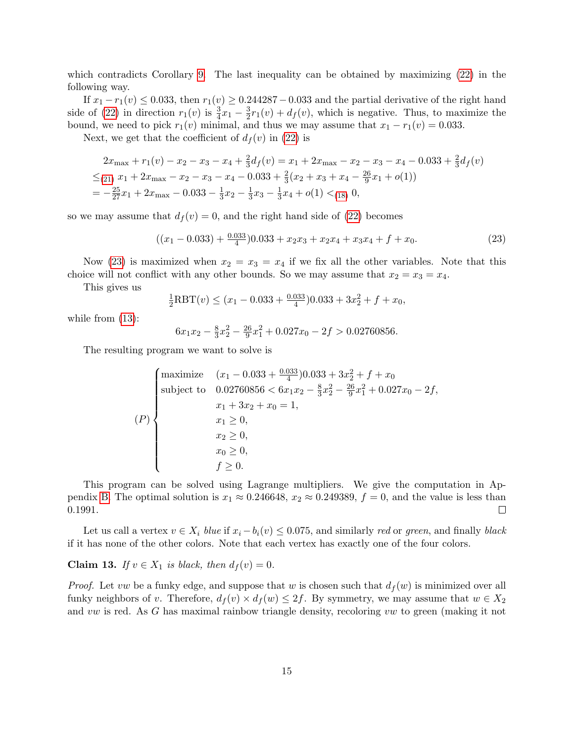which contradicts Corollary [9.](#page-9-0) The last inequality can be obtained by maximizing [\(22\)](#page-13-2) in the following way.

If  $x_1 - r_1(v) \le 0.033$ , then  $r_1(v) \ge 0.244287 - 0.033$  and the partial derivative of the right hand side of [\(22\)](#page-13-2) in direction  $r_1(v)$  is  $\frac{3}{4}x_1 - \frac{3}{2}$  $\frac{3}{2}r_1(v) + d_f(v)$ , which is negative. Thus, to maximize the bound, we need to pick  $r_1(v)$  minimal, and thus we may assume that  $x_1 - r_1(v) = 0.033$ .

Next, we get that the coefficient of  $d_f(v)$  in [\(22\)](#page-13-2) is

$$
2x_{\max} + r_1(v) - x_2 - x_3 - x_4 + \frac{2}{3}d_f(v) = x_1 + 2x_{\max} - x_2 - x_3 - x_4 - 0.033 + \frac{2}{3}d_f(v)
$$
  
\n
$$
\leq_{(21)} x_1 + 2x_{\max} - x_2 - x_3 - x_4 - 0.033 + \frac{2}{3}(x_2 + x_3 + x_4 - \frac{26}{9}x_1 + o(1))
$$
  
\n
$$
= -\frac{25}{27}x_1 + 2x_{\max} - 0.033 - \frac{1}{3}x_2 - \frac{1}{3}x_3 - \frac{1}{3}x_4 + o(1) <_{(18)} 0,
$$

so we may assume that  $d_f(v) = 0$ , and the right hand side of [\(22\)](#page-13-2) becomes

$$
((x_1 - 0.033) + \frac{0.033}{4})0.033 + x_2x_3 + x_2x_4 + x_3x_4 + f + x_0.
$$
\n(23)

Now [\(23\)](#page-14-1) is maximized when  $x_2 = x_3 = x_4$  if we fix all the other variables. Note that this choice will not conflict with any other bounds. So we may assume that  $x_2 = x_3 = x_4$ .

This gives us

<span id="page-14-1"></span>
$$
\frac{1}{2}RBT(v) \le (x_1 - 0.033 + \frac{0.033}{4})0.033 + 3x_2^2 + f + x_0,
$$

while from  $(13)$ :

$$
6x_1x_2 - \frac{8}{3}x_2^2 - \frac{26}{9}x_1^2 + 0.027x_0 - 2f > 0.02760856.
$$

The resulting program we want to solve is

$$
(P)
$$
\n
$$
(P)
$$
\n
$$
(P)
$$
\n
$$
(P)
$$
\n
$$
x_1 \geq 0,
$$
\n
$$
x_2 \geq 0,
$$
\n
$$
x_3 \geq 0,
$$
\n
$$
x_4 \geq 0,
$$
\n
$$
x_5 \geq 0,
$$
\n
$$
x_6 \geq 0,
$$
\n
$$
x_7 \geq 0.
$$
\n
$$
(P)
$$
\n
$$
(P)
$$
\n
$$
(P)
$$
\n
$$
x_1 \geq 0,
$$
\n
$$
x_2 \geq 0,
$$
\n
$$
x_3 \geq 0,
$$
\n
$$
x_4 \geq 0.
$$
\n
$$
(P)
$$
\n
$$
(P)
$$
\n
$$
x_2 \geq 0,
$$
\n
$$
x_3 \geq 0,
$$
\n
$$
x_4 \geq 0.
$$

This program can be solved using Lagrange multipliers. We give the computation in Ap-pendix [B.](#page-24-0) The optimal solution is  $x_1 \approx 0.246648$ ,  $x_2 \approx 0.249389$ ,  $f = 0$ , and the value is less than 0.1991.  $\Box$ 

Let us call a vertex  $v \in X_i$  blue if  $x_i - b_i(v) \leq 0.075$ , and similarly red or green, and finally black if it has none of the other colors. Note that each vertex has exactly one of the four colors.

<span id="page-14-0"></span>Claim 13. If  $v \in X_1$  is black, then  $d_f(v) = 0$ .

*Proof.* Let vw be a funky edge, and suppose that w is chosen such that  $d_f(w)$  is minimized over all funky neighbors of v. Therefore,  $d_f(v) \times d_f(w) \leq 2f$ . By symmetry, we may assume that  $w \in X_2$ and vw is red. As G has maximal rainbow triangle density, recoloring vw to green (making it not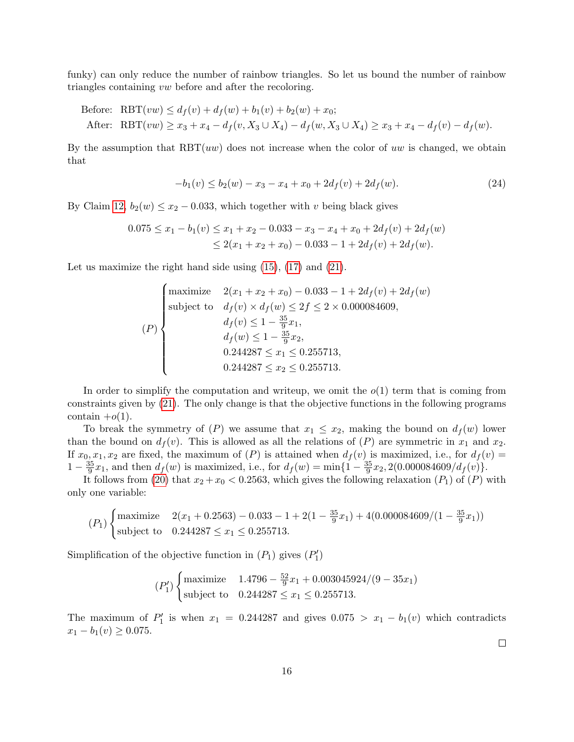funky) can only reduce the number of rainbow triangles. So let us bound the number of rainbow triangles containing vw before and after the recoloring.

Before: RBT(vw) 
$$
\leq d_f(v) + d_f(w) + b_1(v) + b_2(w) + x_0;
$$
  
After: RBT(vw)  $\geq x_3 + x_4 - d_f(v, X_3 \cup X_4) - d_f(w, X_3 \cup X_4) \geq x_3 + x_4 - d_f(v) - d_f(w).$ 

By the assumption that  $RBT(uw)$  does not increase when the color of uw is changed, we obtain that

<span id="page-15-0"></span>
$$
-b_1(v) \le b_2(w) - x_3 - x_4 + x_0 + 2d_f(v) + 2d_f(w). \tag{24}
$$

By Claim [12,](#page-13-1)  $b_2(w) \leq x_2 - 0.033$ , which together with v being black gives

$$
0.075 \le x_1 - b_1(v) \le x_1 + x_2 - 0.033 - x_3 - x_4 + x_0 + 2d_f(v) + 2d_f(w)
$$
  

$$
\le 2(x_1 + x_2 + x_0) - 0.033 - 1 + 2d_f(v) + 2d_f(w).
$$

Let us maximize the right hand side using  $(15)$ ,  $(17)$  and  $(21)$ .

$$
(P)
$$
\n
$$
(P)
$$
\n
$$
(P)
$$
\n
$$
(P)
$$
\n
$$
d_f(v) \times d_f(w) \le 2f \le 2 \times 0.000084609,
$$
\n
$$
d_f(v) \le 1 - \frac{35}{9}x_1,
$$
\n
$$
d_f(w) \le 1 - \frac{35}{9}x_2,
$$
\n
$$
0.244287 \le x_1 \le 0.255713,
$$
\n
$$
0.244287 \le x_2 \le 0.255713.
$$

In order to simplify the computation and writeup, we omit the  $o(1)$  term that is coming from constraints given by [\(21\)](#page-12-5). The only change is that the objective functions in the following programs contain  $+o(1)$ .

To break the symmetry of  $(P)$  we assume that  $x_1 \leq x_2$ , making the bound on  $d_f(w)$  lower than the bound on  $d_f(v)$ . This is allowed as all the relations of  $(P)$  are symmetric in  $x_1$  and  $x_2$ . If  $x_0, x_1, x_2$  are fixed, the maximum of  $(P)$  is attained when  $d_f(v)$  is maximized, i.e., for  $d_f(v)$  =  $1-\frac{35}{9}$  $\frac{35}{9}x_1$ , and then  $d_f(w)$  is maximized, i.e., for  $d_f(w) = \min\{1 - \frac{35}{9}\}$  $\frac{35}{9}x_2$ , 2(0.000084609/d<sub>f</sub>(v).

It follows from [\(20\)](#page-12-7) that  $x_2 + x_0 < 0.2563$ , which gives the following relaxation (P<sub>1</sub>) of (P) with only one variable:

$$
(P_1)\begin{cases} \text{maximize} & 2(x_1 + 0.2563) - 0.033 - 1 + 2(1 - \frac{35}{9}x_1) + 4(0.000084609/(1 - \frac{35}{9}x_1))\\ \text{subject to} & 0.244287 \le x_1 \le 0.255713. \end{cases}
$$

Simplification of the objective function in  $(P_1)$  gives  $(P'_1)$ 

$$
(P_1')\begin{cases} \text{maximize} & 1.4796 - \frac{52}{9}x_1 + 0.003045924/(9 - 35x_1) \\ \text{subject to} & 0.244287 \le x_1 \le 0.255713. \end{cases}
$$

The maximum of  $P'_1$  is when  $x_1 = 0.244287$  and gives  $0.075 > x_1 - b_1(v)$  which contradicts  $x_1 - b_1(v) \ge 0.075$ .

 $\Box$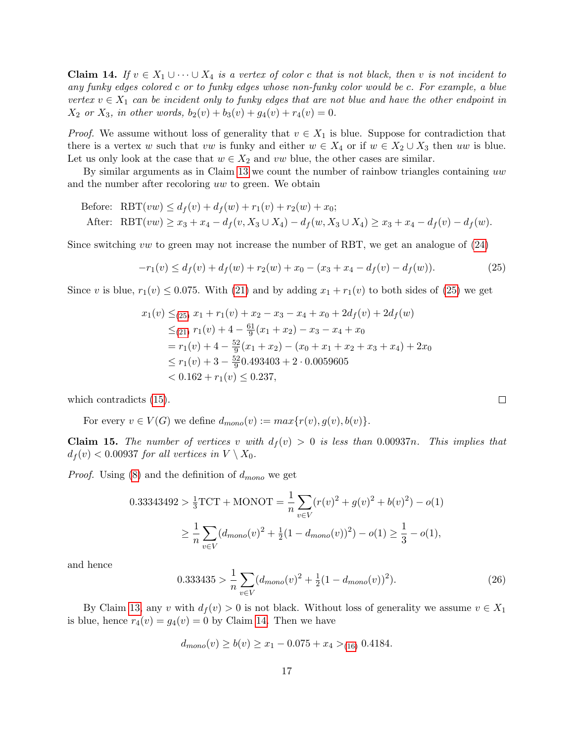<span id="page-16-2"></span>**Claim 14.** If  $v \in X_1 \cup \cdots \cup X_4$  is a vertex of color c that is not black, then v is not incident to any funky edges colored c or to funky edges whose non-funky color would be c. For example, a blue vertex  $v \in X_1$  can be incident only to funky edges that are not blue and have the other endpoint in  $X_2$  or  $X_3$ , in other words,  $b_2(v) + b_3(v) + g_4(v) + r_4(v) = 0$ .

*Proof.* We assume without loss of generality that  $v \in X_1$  is blue. Suppose for contradiction that there is a vertex w such that vw is funky and either  $w \in X_4$  or if  $w \in X_2 \cup X_3$  then uw is blue. Let us only look at the case that  $w \in X_2$  and vw blue, the other cases are similar.

By similar arguments as in Claim [13](#page-14-0) we count the number of rainbow triangles containing uw and the number after recoloring uw to green. We obtain

Before: RBT(vw) 
$$
\leq d_f(v) + d_f(w) + r_1(v) + r_2(w) + x_0;
$$
  
After: RBT(vw)  $\geq x_3 + x_4 - d_f(v, X_3 \cup X_4) - d_f(w, X_3 \cup X_4) \geq x_3 + x_4 - d_f(v) - d_f(w).$ 

Since switching vw to green may not increase the number of RBT, we get an analogue of  $(24)$ 

$$
-r_1(v) \le d_f(v) + d_f(w) + r_2(w) + x_0 - (x_3 + x_4 - d_f(v) - d_f(w)).
$$
\n(25)

Since v is blue,  $r_1(v) \le 0.075$ . With [\(21\)](#page-12-5) and by adding  $x_1 + r_1(v)$  to both sides of [\(25\)](#page-16-1) we get

$$
x_1(v) \leq_{(25)} x_1 + r_1(v) + x_2 - x_3 - x_4 + x_0 + 2d_f(v) + 2d_f(w)
$$
  
\n
$$
\leq_{(21)} r_1(v) + 4 - \frac{61}{9}(x_1 + x_2) - x_3 - x_4 + x_0
$$
  
\n
$$
= r_1(v) + 4 - \frac{52}{9}(x_1 + x_2) - (x_0 + x_1 + x_2 + x_3 + x_4) + 2x_0
$$
  
\n
$$
\leq r_1(v) + 3 - \frac{52}{9}0.493403 + 2 \cdot 0.0059605
$$
  
\n
$$
< 0.162 + r_1(v) \leq 0.237,
$$

which contradicts [\(15\)](#page-12-0).

For every  $v \in V(G)$  we define  $d_{mono}(v) := max\{r(v), g(v), b(v)\}.$ 

<span id="page-16-0"></span>**Claim 15.** The number of vertices v with  $d_f(v) > 0$  is less than 0.00937n. This implies that  $d_f(v) < 0.00937$  for all vertices in  $V \setminus X_0$ .

*Proof.* Using [\(8\)](#page-6-1) and the definition of  $d_{mono}$  we get

$$
0.33343492 > \frac{1}{3}TCT + MONOT = \frac{1}{n} \sum_{v \in V} (r(v)^2 + g(v)^2 + b(v)^2) - o(1)
$$
  
 
$$
\geq \frac{1}{n} \sum_{v \in V} (d_{mono}(v)^2 + \frac{1}{2}(1 - d_{mono}(v))^2) - o(1) \geq \frac{1}{3} - o(1),
$$

and hence

<span id="page-16-3"></span>
$$
0.333435 > \frac{1}{n} \sum_{v \in V} (d_{mono}(v)^2 + \frac{1}{2}(1 - d_{mono}(v))^2). \tag{26}
$$

By Claim [13,](#page-14-0) any v with  $d_f(v) > 0$  is not black. Without loss of generality we assume  $v \in X_1$ is blue, hence  $r_4(v) = g_4(v) = 0$  by Claim [14.](#page-16-2) Then we have

$$
d_{mono}(v) \ge b(v) \ge x_1 - 0.075 + x_4 >_{(16)} 0.4184.
$$

<span id="page-16-1"></span> $\Box$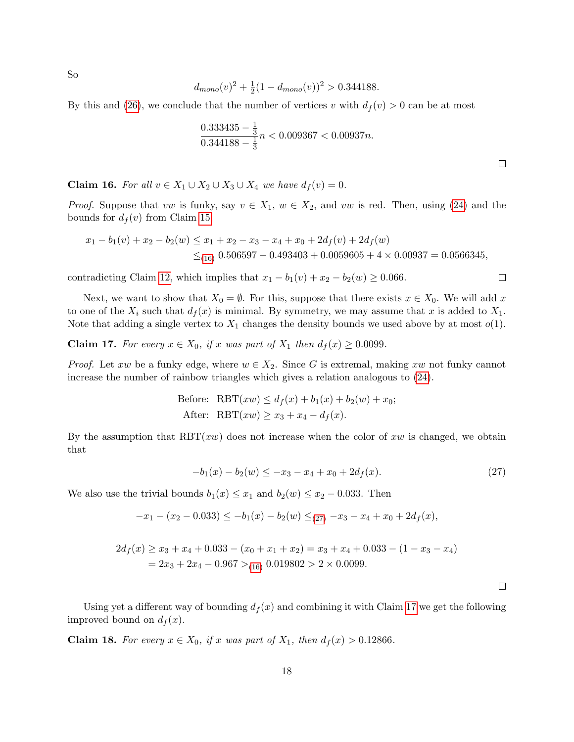So

$$
d_{mono}(v)^2 + \frac{1}{2}(1 - d_{mono}(v))^2 > 0.344188.
$$

By this and [\(26\)](#page-16-3), we conclude that the number of vertices v with  $d_f(v) > 0$  can be at most

$$
\frac{0.333435 - \frac{1}{3}}{0.344188 - \frac{1}{3}}n < 0.009367 < 0.00937n.
$$

<span id="page-17-3"></span>Claim 16. For all  $v \in X_1 \cup X_2 \cup X_3 \cup X_4$  we have  $d_f(v) = 0$ .

*Proof.* Suppose that vw is funky, say  $v \in X_1$ ,  $w \in X_2$ , and vw is red. Then, using [\(24\)](#page-15-0) and the bounds for  $d_f(v)$  from Claim [15,](#page-16-0)

$$
x_1 - b_1(v) + x_2 - b_2(w) \le x_1 + x_2 - x_3 - x_4 + x_0 + 2d_f(v) + 2d_f(w)
$$
  
 
$$
\le_{(16)} 0.506597 - 0.493403 + 0.0059605 + 4 \times 0.00937 = 0.0566345,
$$

contradicting Claim [12,](#page-13-1) which implies that  $x_1 - b_1(v) + x_2 - b_2(w) \ge 0.066$ .

Next, we want to show that  $X_0 = \emptyset$ . For this, suppose that there exists  $x \in X_0$ . We will add x to one of the  $X_i$  such that  $d_f(x)$  is minimal. By symmetry, we may assume that x is added to  $X_1$ . Note that adding a single vertex to  $X_1$  changes the density bounds we used above by at most  $o(1)$ .

<span id="page-17-0"></span>**Claim 17.** For every  $x \in X_0$ , if x was part of  $X_1$  then  $d_f(x) \ge 0.0099$ .

*Proof.* Let xw be a funky edge, where  $w \in X_2$ . Since G is extremal, making xw not funky cannot increase the number of rainbow triangles which gives a relation analogous to [\(24\)](#page-15-0).

Before: RBT(
$$
xw
$$
)  $\leq d_f(x) + b_1(x) + b_2(w) + x_0;$   
After: RBT( $xw$ )  $\geq x_3 + x_4 - d_f(x)$ .

By the assumption that  $RBT(xw)$  does not increase when the color of xw is changed, we obtain that

$$
-b_1(x) - b_2(w) \le -x_3 - x_4 + x_0 + 2d_f(x). \tag{27}
$$

We also use the trivial bounds  $b_1(x) \leq x_1$  and  $b_2(w) \leq x_2 - 0.033$ . Then

$$
-x_1 - (x_2 - 0.033) \le -b_1(x) - b_2(w) \le_{(27)} -x_3 - x_4 + x_0 + 2d_f(x),
$$

$$
2d_f(x) \ge x_3 + x_4 + 0.033 - (x_0 + x_1 + x_2) = x_3 + x_4 + 0.033 - (1 - x_3 - x_4)
$$
  
= 2x\_3 + 2x\_4 - 0.967 > (16) 0.019802 > 2 × 0.0099.

<span id="page-17-2"></span> $\Box$ 

Using yet a different way of bounding  $d_f(x)$  and combining it with Claim [17](#page-17-0) we get the following improved bound on  $d_f(x)$ .

<span id="page-17-1"></span>**Claim 18.** For every  $x \in X_0$ , if x was part of  $X_1$ , then  $d_f(x) > 0.12866$ .

 $\Box$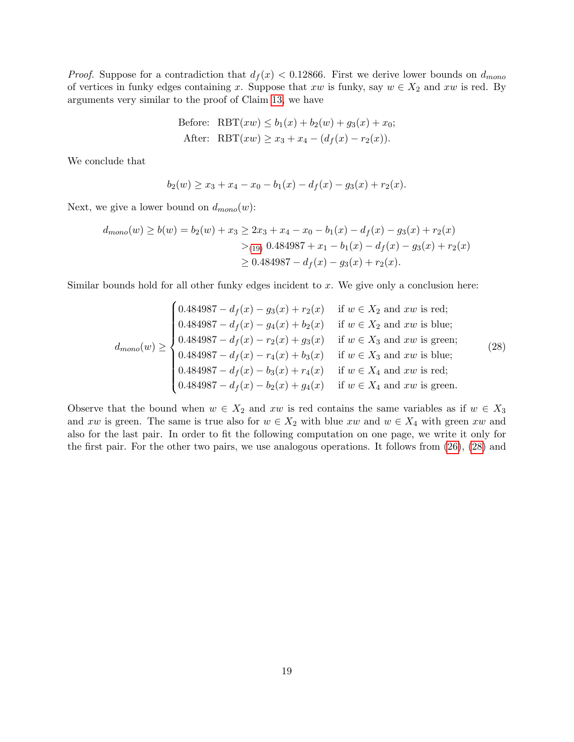*Proof.* Suppose for a contradiction that  $d_f(x) < 0.12866$ . First we derive lower bounds on  $d_{mono}$ of vertices in funky edges containing x. Suppose that  $xw$  is funky, say  $w \in X_2$  and  $xw$  is red. By arguments very similar to the proof of Claim [13,](#page-14-0) we have

Before: RBT(
$$
xw
$$
)  $\leq b_1(x) + b_2(w) + g_3(x) + x_0;$   
After: RBT( $xw$ )  $\geq x_3 + x_4 - (d_f(x) - r_2(x)).$ 

We conclude that

<span id="page-18-0"></span>
$$
b_2(w) \ge x_3 + x_4 - x_0 - b_1(x) - d_f(x) - g_3(x) + r_2(x).
$$

Next, we give a lower bound on  $d_{mono}(w)$ :

$$
d_{mono}(w) \ge b(w) = b_2(w) + x_3 \ge 2x_3 + x_4 - x_0 - b_1(x) - d_f(x) - g_3(x) + r_2(x)
$$
  

$$
>_{(19)} 0.484987 + x_1 - b_1(x) - d_f(x) - g_3(x) + r_2(x)
$$
  

$$
\ge 0.484987 - d_f(x) - g_3(x) + r_2(x).
$$

Similar bounds hold for all other funky edges incident to  $x$ . We give only a conclusion here:

$$
d_{mono}(w) \ge \begin{cases} 0.484987 - d_f(x) - g_3(x) + r_2(x) & \text{if } w \in X_2 \text{ and } xw \text{ is red;} \\ 0.484987 - d_f(x) - g_4(x) + b_2(x) & \text{if } w \in X_2 \text{ and } xw \text{ is blue;} \\ 0.484987 - d_f(x) - r_2(x) + g_3(x) & \text{if } w \in X_3 \text{ and } xw \text{ is green;} \\ 0.484987 - d_f(x) - r_4(x) + b_3(x) & \text{if } w \in X_3 \text{ and } xw \text{ is blue;} \\ 0.484987 - d_f(x) - b_3(x) + r_4(x) & \text{if } w \in X_4 \text{ and } xw \text{ is red;} \\ 0.484987 - d_f(x) - b_2(x) + g_4(x) & \text{if } w \in X_4 \text{ and } xw \text{ is green.} \end{cases} (28)
$$

Observe that the bound when  $w \in X_2$  and  $xw$  is red contains the same variables as if  $w \in X_3$ and xw is green. The same is true also for  $w \in X_2$  with blue xw and  $w \in X_4$  with green xw and also for the last pair. In order to fit the following computation on one page, we write it only for the first pair. For the other two pairs, we use analogous operations. It follows from [\(26\)](#page-16-3), [\(28\)](#page-18-0) and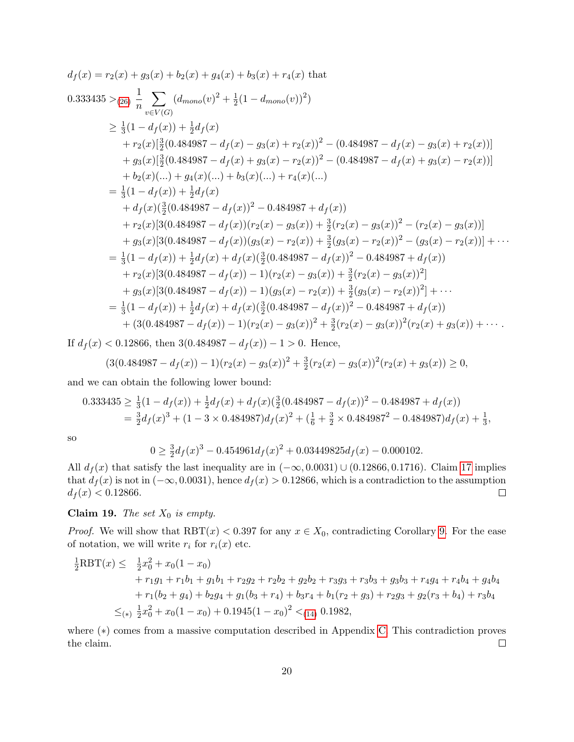$$
d_f(x) = r_2(x) + g_3(x) + b_2(x) + g_4(x) + b_3(x) + r_4(x) \text{ that}
$$
  
\n
$$
0.333435 >_{(26)} \frac{1}{n} \sum_{v \in V(G)} (d_{mono}(v)^2 + \frac{1}{2}(1 - d_{mono}(v))^2)
$$
  
\n
$$
\geq \frac{1}{3}(1 - d_f(x)) + \frac{1}{2}d_f(x)
$$
  
\n
$$
+ r_2(x)[\frac{3}{2}(0.484987 - d_f(x) - g_3(x) + r_2(x))^2 - (0.484987 - d_f(x) - g_3(x) + r_2(x))]
$$
  
\n
$$
+ g_3(x)[\frac{3}{2}(0.484987 - d_f(x) + g_3(x) - r_2(x))^2 - (0.484987 - d_f(x) + g_3(x) - r_2(x))]
$$
  
\n
$$
+ b_2(x)(...) + g_4(x)(...) + b_3(x)(...) + r_4(x)(...)
$$
  
\n
$$
= \frac{1}{3}(1 - d_f(x)) + \frac{1}{2}d_f(x)
$$
  
\n
$$
+ d_f(x)(\frac{3}{2}(0.484987 - d_f(x))^2 - 0.484987 + d_f(x))
$$
  
\n
$$
+ r_2(x)[3(0.484987 - d_f(x))(r_2(x) - g_3(x)) + \frac{3}{2}(r_2(x) - g_3(x))^2 - (r_2(x) - g_3(x))]
$$
  
\n
$$
+ g_3(x)[3(0.484987 - d_f(x))(g_3(x) - r_2(x)) + \frac{3}{2}(g_3(x) - r_2(x))^2 - (g_3(x) - r_2(x))] + \cdots
$$
  
\n
$$
= \frac{1}{3}(1 - d_f(x)) + \frac{1}{2}d_f(x) + d_f(x)(\frac{3}{2}(0.484987 - d_f(x))^2 - 0.484987 + d_f(x))
$$
  
\n
$$
+ r_2(x)[3(0.484987 - d_f(x)) - 1)(r_2(x) - g_3(x)) + \frac{3}{2}(r_2(x) - g_3(x))^2]
$$
  
\n
$$
+ g_
$$

If  $d_f(x) < 0.12866$ , then  $3(0.484987 - d_f(x)) - 1 > 0$ . Hence,

$$
(3(0.484987 - d_f(x)) - 1)(r_2(x) - g_3(x))^2 + \frac{3}{2}(r_2(x) - g_3(x))^2(r_2(x) + g_3(x)) \ge 0,
$$

and we can obtain the following lower bound:

$$
0.333435 \ge \frac{1}{3}(1 - d_f(x)) + \frac{1}{2}d_f(x) + d_f(x)(\frac{3}{2}(0.484987 - d_f(x))^2 - 0.484987 + d_f(x))
$$
  
=  $\frac{3}{2}d_f(x)^3 + (1 - 3 \times 0.484987)d_f(x)^2 + (\frac{1}{6} + \frac{3}{2} \times 0.484987^2 - 0.484987)d_f(x) + \frac{1}{3},$ 

so

$$
0 \ge \frac{3}{2}d_f(x)^3 - 0.454961d_f(x)^2 + 0.03449825d_f(x) - 0.000102.
$$

All  $d_f(x)$  that satisfy the last inequality are in  $(-\infty, 0.0031) \cup (0.12866, 0.1716)$ . Claim [17](#page-17-0) implies that  $d_f(x)$  is not in  $(-\infty, 0.0031)$ , hence  $d_f(x) > 0.12866$ , which is a contradiction to the assumption  $d_f(x) < 0.12866.$  $\Box$ 

<span id="page-19-0"></span>Claim 19. The set  $X_0$  is empty.

*Proof.* We will show that  $RBT(x) < 0.397$  for any  $x \in X_0$ , contradicting Corollary [9.](#page-9-0) For the ease of notation, we will write  $r_i$  for  $r_i(x)$  etc.

$$
\frac{1}{2}RBT(x) \leq \frac{1}{2}x_0^2 + x_0(1 - x_0)
$$
  
+  $r_1g_1 + r_1b_1 + g_1b_1 + r_2g_2 + r_2b_2 + g_2b_2 + r_3g_3 + r_3b_3 + g_3b_3 + r_4g_4 + r_4b_4 + g_4b_4$   
+  $r_1(b_2 + g_4) + b_2g_4 + g_1(b_3 + r_4) + b_3r_4 + b_1(r_2 + g_3) + r_2g_3 + g_2(r_3 + b_4) + r_3b_4$   
 $\leq_{(*)}\frac{1}{2}x_0^2 + x_0(1 - x_0) + 0.1945(1 - x_0)^2 <_{(14)} 0.1982,$ 

where (∗) comes from a massive computation described in Appendix [C.](#page-25-0) This contradiction proves the claim.  $\Box$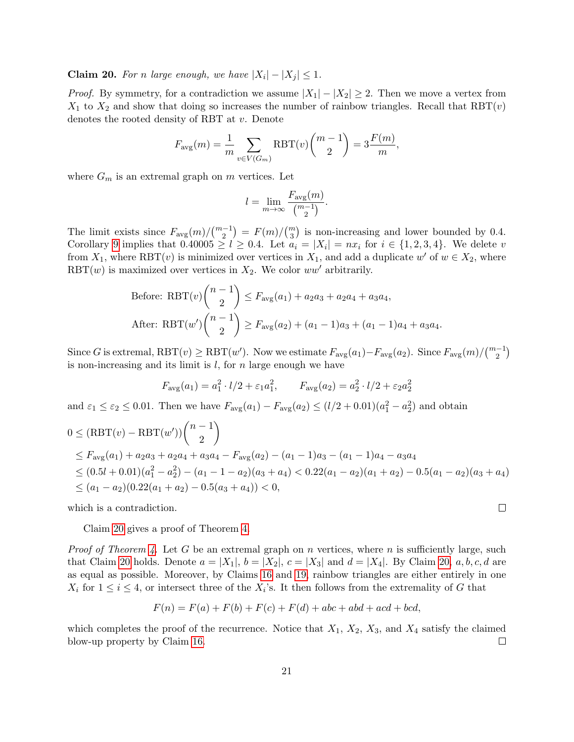<span id="page-20-0"></span>**Claim 20.** For n large enough, we have  $|X_i| - |X_j| \leq 1$ .

*Proof.* By symmetry, for a contradiction we assume  $|X_1| - |X_2| \geq 2$ . Then we move a vertex from  $X_1$  to  $X_2$  and show that doing so increases the number of rainbow triangles. Recall that RBT(v) denotes the rooted density of RBT at v. Denote

$$
F_{\text{avg}}(m) = \frac{1}{m} \sum_{v \in V(G_m)} \text{RBT}(v) {m-1 \choose 2} = 3 \frac{F(m)}{m},
$$

where  $G_m$  is an extremal graph on m vertices. Let

$$
l = \lim_{m \to \infty} \frac{F_{\text{avg}}(m)}{\binom{m-1}{2}}.
$$

The limit exists since  $F_{\text{avg}}(m) / \binom{m-1}{2} = F(m) / \binom{m}{3}$  is non-increasing and lower bounded by 0.4. Corollary [9](#page-9-0) implies that  $0.40005 \ge l \ge 0.4$ . Let  $a_i = |X_i| = nx_i$  for  $i \in \{1, 2, 3, 4\}$ . We delete v from  $X_1$ , where RBT(*v*) is minimized over vertices in  $X_1$ , and add a duplicate w' of  $w \in X_2$ , where RBT(w) is maximized over vertices in  $X_2$ . We color ww' arbitrarily.

Before: RBT(v) 
$$
\binom{n-1}{2}
$$
  $\leq$   $F_{\text{avg}}(a_1) + a_2a_3 + a_2a_4 + a_3a_4$ ,  
After: RBT(w')  $\binom{n-1}{2}$   $\geq$   $F_{\text{avg}}(a_2) + (a_1 - 1)a_3 + (a_1 - 1)a_4 + a_3a_4$ .

Since G is extremal,  $RBT(v) \geq RBT(w')$ . Now we estimate  $F_{\text{avg}}(a_1) - F_{\text{avg}}(a_2)$ . Since  $F_{\text{avg}}(m)/\binom{m-1}{2}$ is non-increasing and its limit is  $l$ , for  $n$  large enough we have

$$
F_{\text{avg}}(a_1) = a_1^2 \cdot l/2 + \varepsilon_1 a_1^2
$$
,  $F_{\text{avg}}(a_2) = a_2^2 \cdot l/2 + \varepsilon_2 a_2^2$ 

and  $\varepsilon_1 \leq \varepsilon_2 \leq 0.01$ . Then we have  $F_{\text{avg}}(a_1) - F_{\text{avg}}(a_2) \leq (l/2 + 0.01)(a_1^2 - a_2^2)$  and obtain

$$
0 \leq (RBT(v) - RBT(w'))\binom{n-1}{2}
$$
  
\n
$$
\leq F_{avg}(a_1) + a_2a_3 + a_2a_4 + a_3a_4 - F_{avg}(a_2) - (a_1 - 1)a_3 - (a_1 - 1)a_4 - a_3a_4
$$
  
\n
$$
\leq (0.5l + 0.01)(a_1^2 - a_2^2) - (a_1 - 1 - a_2)(a_3 + a_4) < 0.22(a_1 - a_2)(a_1 + a_2) - 0.5(a_1 - a_2)(a_3 + a_4)
$$
  
\n
$$
\leq (a_1 - a_2)(0.22(a_1 + a_2) - 0.5(a_3 + a_4)) < 0,
$$

 $\Box$ 

which is a contradiction.

Claim [20](#page-20-0) gives a proof of Theorem [4.](#page-1-3)

*Proof of Theorem [4.](#page-1-3)* Let G be an extremal graph on n vertices, where n is sufficiently large, such that Claim [20](#page-20-0) holds. Denote  $a = |X_1|, b = |X_2|, c = |X_3|$  and  $d = |X_4|$ . By Claim [20,](#page-20-0) a, b, c, d are as equal as possible. Moreover, by Claims [16](#page-17-3) and [19,](#page-19-0) rainbow triangles are either entirely in one  $X_i$  for  $1 \leq i \leq 4$ , or intersect three of the  $X_i$ 's. It then follows from the extremality of G that

$$
F(n) = F(a) + F(b) + F(c) + F(d) + abc + abd + acd + bcd,
$$

which completes the proof of the recurrence. Notice that  $X_1, X_2, X_3$ , and  $X_4$  satisfy the claimed blow-up property by Claim [16.](#page-17-3)  $\Box$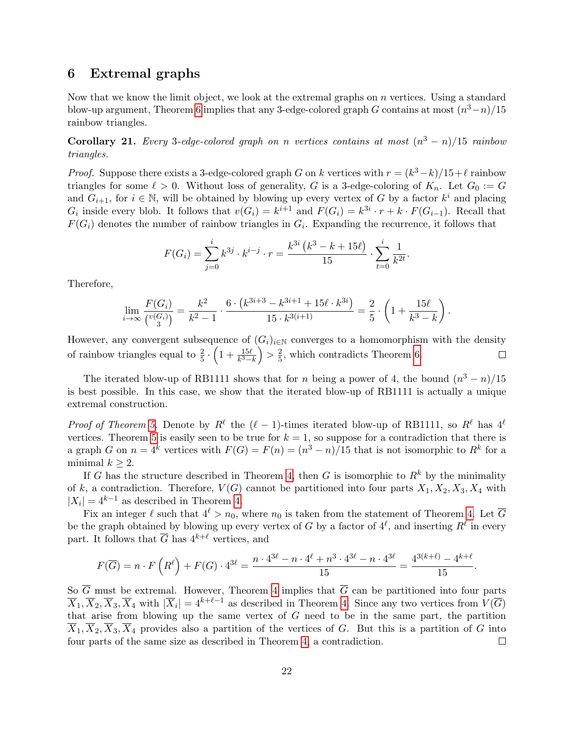### 6 Extremal graphs

Now that we know the limit object, we look at the extremal graphs on  $n$  vertices. Using a standard blow-up argument, Theorem [6](#page-2-0) implies that any 3-edge-colored graph G contains at most  $(n^3-n)/15$ rainbow triangles.

**Corollary 21.** Every 3-edge-colored graph on n vertices contains at most  $(n^3 - n)/15$  rainbow triangles.

*Proof.* Suppose there exists a 3-edge-colored graph G on k vertices with  $r = (k^3 - k)/15 + \ell$  rainbow triangles for some  $\ell > 0$ . Without loss of generality, G is a 3-edge-coloring of  $K_n$ . Let  $G_0 := G$ and  $G_{i+1}$ , for  $i \in \mathbb{N}$ , will be obtained by blowing up every vertex of G by a factor  $k^i$  and placing  $G_i$  inside every blob. It follows that  $v(G_i) = k^{i+1}$  and  $F(G_i) = k^{3i} \cdot r + k \cdot F(G_{i-1})$ . Recall that  $F(G_i)$  denotes the number of rainbow triangles in  $G_i$ . Expanding the recurrence, it follows that

$$
F(G_i) = \sum_{j=0}^{i} k^{3j} \cdot k^{i-j} \cdot r = \frac{k^{3i} (k^3 - k + 15\ell)}{15} \cdot \sum_{t=0}^{i} \frac{1}{k^{2t}}.
$$

Therefore,

$$
\lim_{i \to \infty} \frac{F(G_i)}{\binom{v(G_i)}{3}} = \frac{k^2}{k^2 - 1} \cdot \frac{6 \cdot \left(k^{3i+3} - k^{3i+1} + 15\ell \cdot k^{3i}\right)}{15 \cdot k^{3(i+1)}} = \frac{2}{5} \cdot \left(1 + \frac{15\ell}{k^3 - k}\right).
$$

However, any convergent subsequence of  $(G_i)_{i\in\mathbb{N}}$  converges to a homomorphism with the density of rainbow triangles equal to  $\frac{2}{5} \cdot \left(1 + \frac{15\ell}{k^3 - k}\right) > \frac{2}{5}$  $\frac{2}{5}$ , which contradicts Theorem [6.](#page-2-0)  $\Box$ 

The iterated blow-up of RB1111 shows that for n being a power of 4, the bound  $(n^3 - n)/15$ is best possible. In this case, we show that the iterated blow-up of RB1111 is actually a unique extremal construction.

*Proof of Theorem [5.](#page-1-4)* Denote by  $R^{\ell}$  the  $(\ell - 1)$ -times iterated blow-up of RB1111, so  $R^{\ell}$  has  $4^{\ell}$ vertices. Theorem [5](#page-1-4) is easily seen to be true for  $k = 1$ , so suppose for a contradiction that there is a graph G on  $n = 4^k$  vertices with  $F(G) = F(n) = (n^3 - n)/15$  that is not isomorphic to  $R^k$  for a minimal  $k \geq 2$ .

If G has the structure described in Theorem [4,](#page-1-3) then G is isomorphic to  $R^k$  by the minimality of k, a contradiction. Therefore,  $V(G)$  cannot be partitioned into four parts  $X_1, X_2, X_3, X_4$  with  $|X_i| = 4^{k-1}$  as described in Theorem [4.](#page-1-3)

Fix an integer  $\ell$  such that  $4^{\ell} > n_0$ , where  $n_0$  is taken from the statement of Theorem [4.](#page-1-3) Let  $\overline{G}$ be the graph obtained by blowing up every vertex of G by a factor of  $4^\ell$ , and inserting  $R^\ell$  in every part. It follows that  $\overline{G}$  has  $4^{k+\ell}$  vertices, and

$$
F(\overline{G}) = n \cdot F\left(R^{\ell}\right) + F(G) \cdot 4^{3\ell} = \frac{n \cdot 4^{3\ell} - n \cdot 4^{\ell} + n^3 \cdot 4^{3\ell} - n \cdot 4^{3\ell}}{15} = \frac{4^{3(k+\ell)} - 4^{k+\ell}}{15}.
$$

So  $\overline{G}$  must be extremal. However, Theorem [4](#page-1-3) implies that  $\overline{G}$  can be partitioned into four parts  $\overline{X}_1, \overline{X}_2, \overline{X}_3, \overline{X}_4$  with  $|\overline{X}_i| = 4^{k+\ell-1}$  as described in Theorem [4.](#page-1-3) Since any two vertices from  $V(\overline{G})$ that arise from blowing up the same vertex of  $G$  need to be in the same part, the partition  $\overline{X}_1, \overline{X}_2, \overline{X}_3, \overline{X}_4$  provides also a partition of the vertices of G. But this is a partition of G into four parts of the same size as described in Theorem [4,](#page-1-3) a contradiction.  $\Box$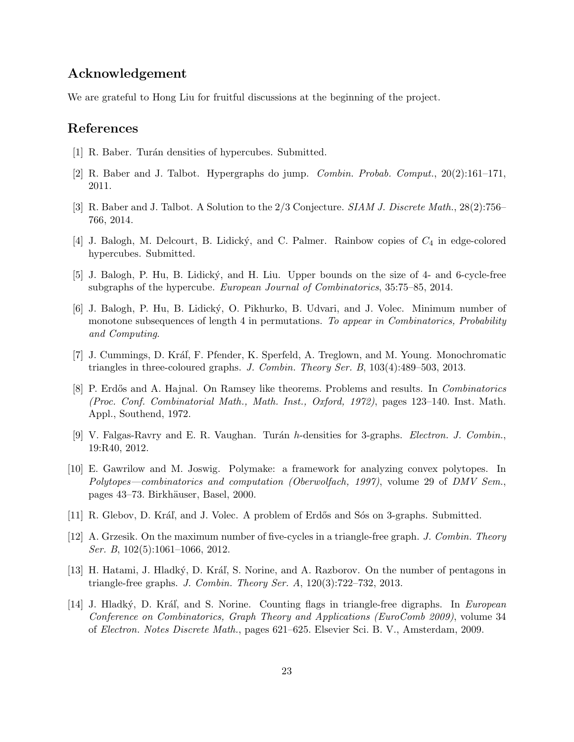# Acknowledgement

We are grateful to Hong Liu for fruitful discussions at the beginning of the project.

## References

- <span id="page-22-9"></span>[1] R. Baber. Turán densities of hypercubes. Submitted.
- <span id="page-22-6"></span>[2] R. Baber and J. Talbot. Hypergraphs do jump. Combin. Probab. Comput., 20(2):161–171, 2011.
- <span id="page-22-11"></span>[3] R. Baber and J. Talbot. A Solution to the 2/3 Conjecture. SIAM J. Discrete Math., 28(2):756– 766, 2014.
- <span id="page-22-1"></span>[4] J. Balogh, M. Delcourt, B. Lidický, and C. Palmer. Rainbow copies of  $C_4$  in edge-colored hypercubes. Submitted.
- <span id="page-22-10"></span>[5] J. Balogh, P. Hu, B. Lidick´y, and H. Liu. Upper bounds on the size of 4- and 6-cycle-free subgraphs of the hypercube. European Journal of Combinatorics, 35:75–85, 2014.
- <span id="page-22-12"></span>[6] J. Balogh, P. Hu, B. Lidick´y, O. Pikhurko, B. Udvari, and J. Volec. Minimum number of monotone subsequences of length 4 in permutations. To appear in Combinatorics, Probability and Computing.
- <span id="page-22-2"></span>[7] J. Cummings, D. Kráľ, F. Pfender, K. Sperfeld, A. Treglown, and M. Young. Monochromatic triangles in three-coloured graphs. J. Combin. Theory Ser. B, 103(4):489–503, 2013.
- <span id="page-22-0"></span>[8] P. Erdős and A. Hajnal. On Ramsey like theorems. Problems and results. In *Combinatorics* (Proc. Conf. Combinatorial Math., Math. Inst., Oxford, 1972), pages 123–140. Inst. Math. Appl., Southend, 1972.
- <span id="page-22-7"></span>[9] V. Falgas-Ravry and E. R. Vaughan. Turán h-densities for 3-graphs. *Electron. J. Combin.*, 19:R40, 2012.
- <span id="page-22-13"></span>[10] E. Gawrilow and M. Joswig. Polymake: a framework for analyzing convex polytopes. In Polytopes—combinatorics and computation (Oberwolfach, 1997), volume 29 of DMV Sem., pages 43–73. Birkh¨auser, Basel, 2000.
- <span id="page-22-8"></span>[11] R. Glebov, D. Kráľ, and J. Volec. A problem of Erdős and Sós on 3-graphs. Submitted.
- <span id="page-22-4"></span>[12] A. Grzesik. On the maximum number of five-cycles in a triangle-free graph. J. Combin. Theory Ser. B, 102(5):1061-1066, 2012.
- <span id="page-22-5"></span>[13] H. Hatami, J. Hladký, D. Kráľ, S. Norine, and A. Razborov. On the number of pentagons in triangle-free graphs. J. Combin. Theory Ser. A, 120(3):722–732, 2013.
- <span id="page-22-3"></span>[14] J. Hladký, D. Kráľ, and S. Norine. Counting flags in triangle-free digraphs. In European Conference on Combinatorics, Graph Theory and Applications (EuroComb 2009), volume 34 of Electron. Notes Discrete Math., pages 621–625. Elsevier Sci. B. V., Amsterdam, 2009.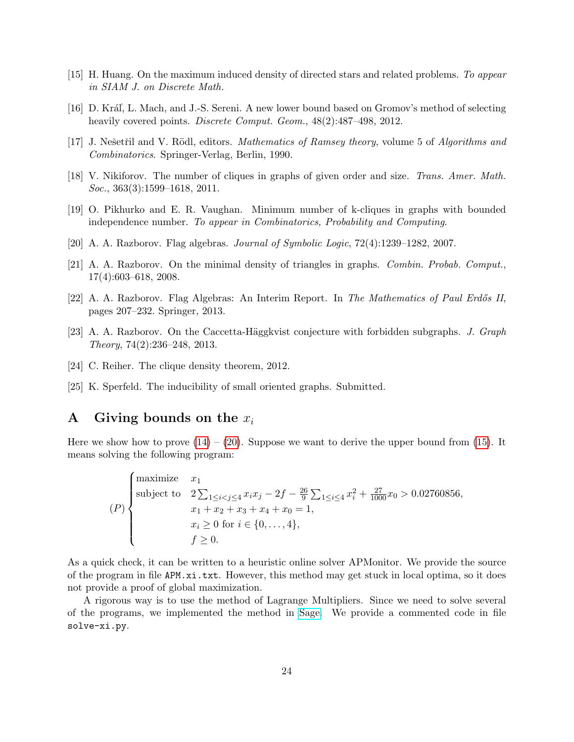- <span id="page-23-10"></span>[15] H. Huang. On the maximum induced density of directed stars and related problems. To appear in SIAM J. on Discrete Math.
- <span id="page-23-8"></span>[16] D. Kráľ, L. Mach, and J.-S. Sereni. A new lower bound based on Gromov's method of selecting heavily covered points. *Discrete Comput. Geom.*,  $48(2):487-498$ , 2012.
- <span id="page-23-0"></span>[17] J. Nešetřil and V. Rödl, editors. *Mathematics of Ramsey theory*, volume 5 of *Algorithms and* Combinatorics. Springer-Verlag, Berlin, 1990.
- <span id="page-23-3"></span>[18] V. Nikiforov. The number of cliques in graphs of given order and size. Trans. Amer. Math. Soc., 363(3):1599–1618, 2011.
- <span id="page-23-4"></span>[19] O. Pikhurko and E. R. Vaughan. Minimum number of k-cliques in graphs with bounded independence number. To appear in Combinatorics, Probability and Computing.
- <span id="page-23-1"></span>[20] A. A. Razborov. Flag algebras. Journal of Symbolic Logic, 72(4):1239–1282, 2007.
- <span id="page-23-5"></span>[21] A. A. Razborov. On the minimal density of triangles in graphs. Combin. Probab. Comput., 17(4):603–618, 2008.
- <span id="page-23-9"></span>[22] A. A. Razborov. Flag Algebras: An Interim Report. In The Mathematics of Paul Erdős II, pages 207–232. Springer, 2013.
- <span id="page-23-2"></span>[23] A. A. Razborov. On the Caccetta-Häggkvist conjecture with forbidden subgraphs. J. Graph Theory, 74(2):236–248, 2013.
- <span id="page-23-6"></span>[24] C. Reiher. The clique density theorem, 2012.
- <span id="page-23-7"></span>[25] K. Sperfeld. The inducibility of small oriented graphs. Submitted.

## <span id="page-23-11"></span>A Giving bounds on the  $x_i$

Here we show how to prove  $(14) - (20)$  $(14) - (20)$  $(14) - (20)$ . Suppose we want to derive the upper bound from [\(15\)](#page-12-0). It means solving the following program:

$$
(P)\begin{cases}\n\text{maximize} & x_1\\ \n\text{subject to} & 2\sum_{1\leq i < j\leq 4} x_i x_j - 2f - \frac{26}{9} \sum_{1\leq i \leq 4} x_i^2 + \frac{27}{1000} x_0 > 0.02760856, \\ \n& x_1 + x_2 + x_3 + x_4 + x_0 = 1, \\ \n& x_i \geq 0 \text{ for } i \in \{0, \dots, 4\}, \\ \n& f \geq 0.\n\end{cases}
$$

As a quick check, it can be written to a heuristic online solver APMonitor. We provide the source of the program in file APM.xi.txt. However, this method may get stuck in local optima, so it does not provide a proof of global maximization.

A rigorous way is to use the method of Lagrange Multipliers. Since we need to solve several of the programs, we implemented the method in [Sage.](http://www.sagemath.org) We provide a commented code in file solve-xi.py.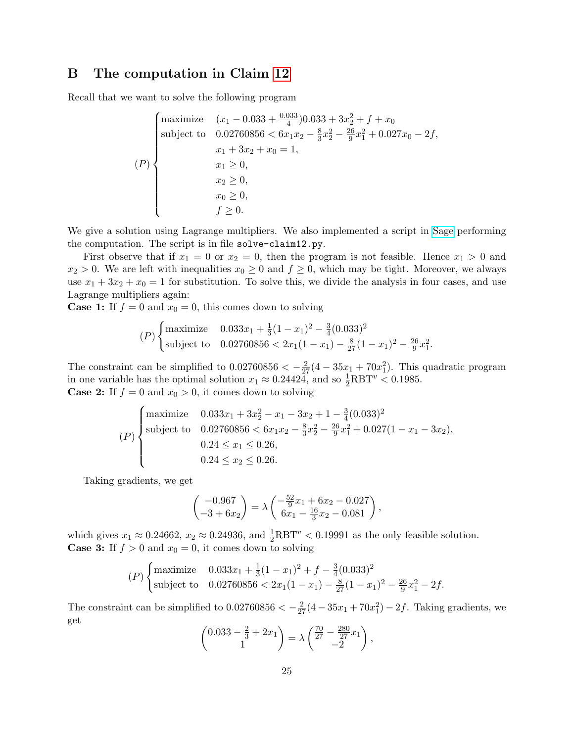# <span id="page-24-0"></span>B The computation in Claim [12](#page-13-1)

Recall that we want to solve the following program

$$
(P)
$$
\n
$$
(P)
$$
\n
$$
(P)
$$
\n
$$
x_0 \geq 0,
$$
\n
$$
x_1 \geq 0,
$$
\n
$$
x_2 \geq 0,
$$
\n
$$
x_0 \geq 0,
$$
\n
$$
x_1 \geq 0,
$$
\n
$$
x_2 \geq 0,
$$
\n
$$
x_0 \geq 0,
$$
\n
$$
x_1 \geq 0.
$$

We give a solution using Lagrange multipliers. We also implemented a script in [Sage](http://www.sagemath.org) performing the computation. The script is in file solve-claim12.py.

First observe that if  $x_1 = 0$  or  $x_2 = 0$ , then the program is not feasible. Hence  $x_1 > 0$  and  $x_2 > 0$ . We are left with inequalities  $x_0 \geq 0$  and  $f \geq 0$ , which may be tight. Moreover, we always use  $x_1 + 3x_2 + x_0 = 1$  for substitution. To solve this, we divide the analysis in four cases, and use Lagrange multipliers again:

**Case 1:** If  $f = 0$  and  $x_0 = 0$ , this comes down to solving

$$
(P)\begin{cases} \text{maximize} & 0.033x_1 + \frac{1}{3}(1-x_1)^2 - \frac{3}{4}(0.033)^2\\ \text{subject to} & 0.02760856 < 2x_1(1-x_1) - \frac{8}{27}(1-x_1)^2 - \frac{26}{9}x_1^2. \end{cases}
$$

The constraint can be simplified to  $0.02760856 < -\frac{2}{27}(4-35x_1+70x_1^2)$ . This quadratic program in one variable has the optimal solution  $x_1 \approx 0.24424$ , and so  $\frac{1}{2}$ RBT<sup>v</sup> < 0.1985. **Case 2:** If  $f = 0$  and  $x_0 > 0$ , it comes down to solving

$$
(P)\begin{cases}\n\text{maximize} & 0.033x_1 + 3x_2^2 - x_1 - 3x_2 + 1 - \frac{3}{4}(0.033)^2 \\
\text{subject to} & 0.02760856 < 6x_1x_2 - \frac{8}{3}x_2^2 - \frac{26}{9}x_1^2 + 0.027(1 - x_1 - 3x_2), \\
& 0.24 \le x_1 \le 0.26, \\
& 0.24 \le x_2 \le 0.26.\n\end{cases}
$$

Taking gradients, we get

$$
\begin{pmatrix} -0.967 \\ -3 + 6x_2 \end{pmatrix} = \lambda \begin{pmatrix} -\frac{52}{9}x_1 + 6x_2 - 0.027 \\ 6x_1 - \frac{16}{3}x_2 - 0.081 \end{pmatrix},
$$

which gives  $x_1 \approx 0.24662$ ,  $x_2 \approx 0.24936$ , and  $\frac{1}{2}$ RBT<sup>*v*</sup> < 0.19991 as the only feasible solution. **Case 3:** If  $f > 0$  and  $x_0 = 0$ , it comes down to solving

$$
(P)\begin{cases} \text{maximize} & 0.033x_1 + \frac{1}{3}(1-x_1)^2 + f - \frac{3}{4}(0.033)^2\\ \text{subject to} & 0.02760856 < 2x_1(1-x_1) - \frac{8}{27}(1-x_1)^2 - \frac{26}{9}x_1^2 - 2f. \end{cases}
$$

The constraint can be simplified to  $0.02760856 < -\frac{2}{27}(4-35x_1+70x_1^2) - 2f$ . Taking gradients, we get

$$
\begin{pmatrix} 0.033 - \frac{2}{3} + 2x_1 \\ 1 \end{pmatrix} = \lambda \begin{pmatrix} \frac{70}{27} - \frac{280}{27}x_1 \\ -2 \end{pmatrix},
$$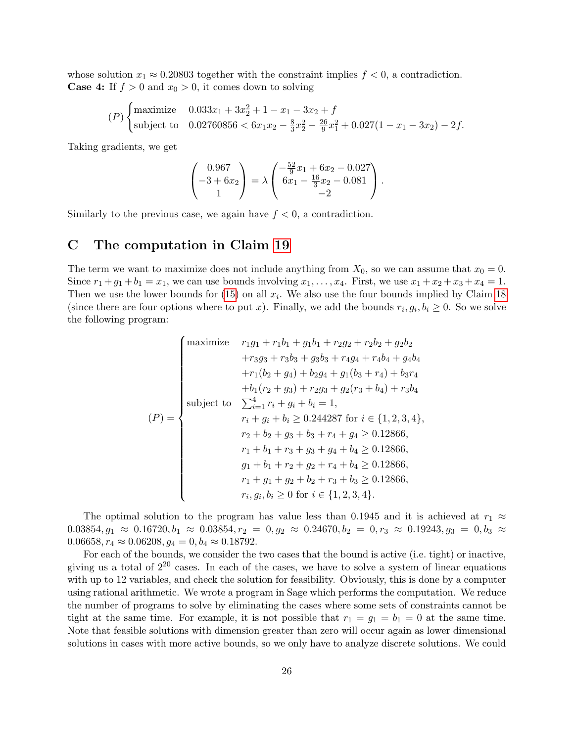whose solution  $x_1 \approx 0.20803$  together with the constraint implies  $f < 0$ , a contradiction. **Case 4:** If  $f > 0$  and  $x_0 > 0$ , it comes down to solving

$$
(P)\begin{cases} \text{maximize} & 0.033x_1 + 3x_2^2 + 1 - x_1 - 3x_2 + f \\ \text{subject to} & 0.02760856 < 6x_1x_2 - \frac{8}{3}x_2^2 - \frac{26}{9}x_1^2 + 0.027(1 - x_1 - 3x_2) - 2f. \end{cases}
$$

Taking gradients, we get

$$
\begin{pmatrix} 0.967 \\ -3 + 6x_2 \\ 1 \end{pmatrix} = \lambda \begin{pmatrix} -\frac{52}{9}x_1 + 6x_2 - 0.027 \\ 6x_1 - \frac{16}{3}x_2 - 0.081 \\ -2 \end{pmatrix}.
$$

Similarly to the previous case, we again have  $f < 0$ , a contradiction.

# <span id="page-25-0"></span>C The computation in Claim [19](#page-19-0)

The term we want to maximize does not include anything from  $X_0$ , so we can assume that  $x_0 = 0$ . Since  $r_1+g_1+b_1=x_1$ , we can use bounds involving  $x_1,\ldots,x_4$ . First, we use  $x_1+x_2+x_3+x_4=1$ . Then we use the lower bounds for  $(15)$  on all  $x_i$ . We also use the four bounds implied by Claim [18](#page-17-1) (since there are four options where to put x). Finally, we add the bounds  $r_i, g_i, b_i \geq 0$ . So we solve the following program:

$$
(P) = \begin{cases}\n\text{maximize} & r_1g_1 + r_1b_1 + g_1b_1 + r_2g_2 + r_2b_2 + g_2b_2 \\
+ r_3g_3 + r_3b_3 + g_3b_3 + r_4g_4 + r_4b_4 + g_4b_4 \\
+ r_1(b_2 + g_4) + b_2g_4 + g_1(b_3 + r_4) + b_3r_4 \\
+ b_1(r_2 + g_3) + r_2g_3 + g_2(r_3 + b_4) + r_3b_4 \\
\text{subject to} & \sum_{i=1}^4 r_i + g_i + b_i = 1, \\
r_i + g_i + b_i \ge 0.244287 \text{ for } i \in \{1, 2, 3, 4\}, \\
r_2 + b_2 + g_3 + b_3 + r_4 + g_4 \ge 0.12866, \\
r_1 + b_1 + r_3 + g_3 + g_4 + b_4 \ge 0.12866, \\
g_1 + b_1 + r_2 + g_2 + r_4 + b_4 \ge 0.12866, \\
r_1 + g_1 + g_2 + b_2 + r_3 + b_3 \ge 0.12866, \\
r_i, g_i, b_i \ge 0 \text{ for } i \in \{1, 2, 3, 4\}.\n\end{cases}
$$

The optimal solution to the program has value less than 0.1945 and it is achieved at  $r_1 \approx$  $0.03854, g_1 \approx 0.16720, b_1 \approx 0.03854, r_2 = 0, g_2 \approx 0.24670, b_2 = 0, r_3 \approx 0.19243, g_3 = 0, b_3 \approx$  $0.06658, r_4 \approx 0.06208, g_4 = 0, b_4 \approx 0.18792.$ 

For each of the bounds, we consider the two cases that the bound is active (i.e. tight) or inactive, giving us a total of  $2^{20}$  cases. In each of the cases, we have to solve a system of linear equations with up to 12 variables, and check the solution for feasibility. Obviously, this is done by a computer using rational arithmetic. We wrote a program in Sage which performs the computation. We reduce the number of programs to solve by eliminating the cases where some sets of constraints cannot be tight at the same time. For example, it is not possible that  $r_1 = g_1 = b_1 = 0$  at the same time. Note that feasible solutions with dimension greater than zero will occur again as lower dimensional solutions in cases with more active bounds, so we only have to analyze discrete solutions. We could